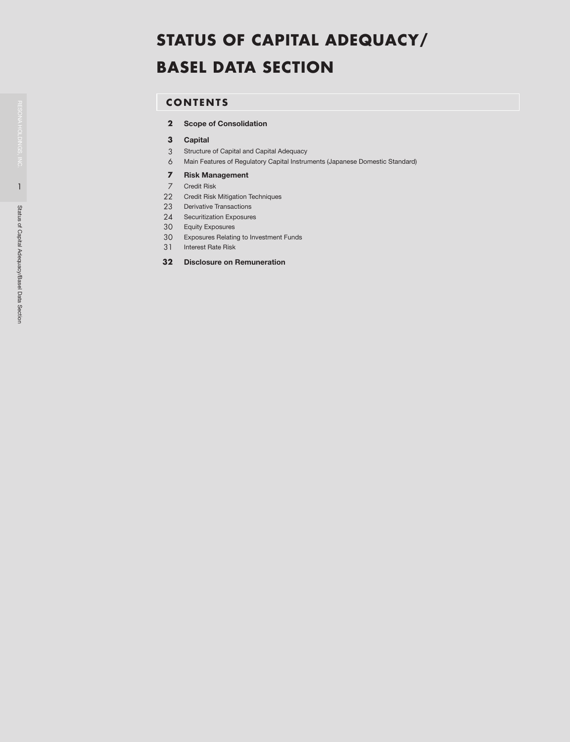# **CONTENTS**

- Scope of Consolidation
- Capital
- Structure of Capital and Capital Adequacy
- Main Features of Regulatory Capital Instruments (Japanese Domestic Standard)

### Risk Management

- Credit Risk
- Credit Risk Mitigation Techniques
- 23 Derivative Transactions
- Securitization Exposures
- Equity Exposures
- Exposures Relating to Investment Funds
- Interest Rate Risk
- Disclosure on Remuneration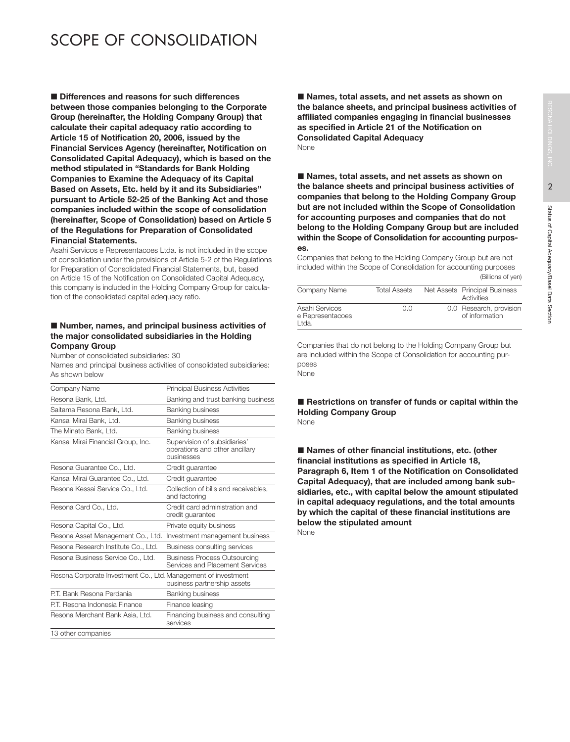# 2 Status of Capital Adequacy/Basel Data Section Status of Capital Adequacy/Basel Data Section

# SCOPE OF CONSOLIDATION

■ Differences and reasons for such differences between those companies belonging to the Corporate Group (hereinafter, the Holding Company Group) that calculate their capital adequacy ratio according to Article 15 of Notification 20, 2006, issued by the Financial Services Agency (hereinafter, Notification on Consolidated Capital Adequacy), which is based on the method stipulated in "Standards for Bank Holding Companies to Examine the Adequacy of its Capital Based on Assets, Etc. held by it and its Subsidiaries" pursuant to Article 52-25 of the Banking Act and those companies included within the scope of consolidation (hereinafter, Scope of Consolidation) based on Article 5 of the Regulations for Preparation of Consolidated Financial Statements.

Asahi Servicos e Representacoes Ltda. is not included in the scope of consolidation under the provisions of Article 5-2 of the Regulations for Preparation of Consolidated Financial Statements, but, based on Article 15 of the Notification on Consolidated Capital Adequacy, this company is included in the Holding Company Group for calculation of the consolidated capital adequacy ratio.

### Number, names, and principal business activities of the major consolidated subsidiaries in the Holding Company Group

Number of consolidated subsidiaries: 30

Names and principal business activities of consolidated subsidiaries: As shown below

| Company Name                                                   | <b>Principal Business Activities</b>                                         |
|----------------------------------------------------------------|------------------------------------------------------------------------------|
| Resona Bank, Ltd.                                              | Banking and trust banking business                                           |
| Saitama Resona Bank. Ltd.                                      | Banking business                                                             |
| Kansai Mirai Bank, Ltd.                                        | <b>Banking business</b>                                                      |
| The Minato Bank, Ltd.                                          | <b>Banking business</b>                                                      |
| Kansai Mirai Financial Group, Inc.                             | Supervision of subsidiaries'<br>operations and other ancillary<br>businesses |
| Resona Guarantee Co., Ltd.                                     | Credit quarantee                                                             |
| Kansai Mirai Guarantee Co., Ltd.                               | Credit quarantee                                                             |
| Resona Kessai Service Co., Ltd.                                | Collection of bills and receivables.<br>and factoring                        |
| Resona Card Co., Ltd.                                          | Credit card administration and<br>credit quarantee                           |
| Resona Capital Co., Ltd.                                       | Private equity business                                                      |
| Resona Asset Management Co., Ltd.                              | Investment management business                                               |
| Resona Research Institute Co., Ltd.                            | Business consulting services                                                 |
| Resona Business Service Co., Ltd.                              | <b>Business Process Outsourcing</b><br>Services and Placement Services       |
| Resona Corporate Investment Co., Ltd. Management of investment | business partnership assets                                                  |
| P.T. Bank Resona Perdania                                      | <b>Banking business</b>                                                      |
| P.T. Resona Indonesia Finance                                  | Finance leasing                                                              |
| Resona Merchant Bank Asia, Ltd.                                | Financing business and consulting<br>services                                |
| 13 other companies                                             |                                                                              |
|                                                                |                                                                              |

■ Names, total assets, and net assets as shown on the balance sheets, and principal business activities of affiliated companies engaging in financial businesses as specified in Article 21 of the Notification on Consolidated Capital Adequacy None

■ Names, total assets, and net assets as shown on the balance sheets and principal business activities of companies that belong to the Holding Company Group but are not included within the Scope of Consolidation for accounting purposes and companies that do not belong to the Holding Company Group but are included within the Scope of Consolidation for accounting purposes.

Companies that belong to the Holding Company Group but are not included within the Scope of Consolidation for accounting purposes (Billions of yen)

|                                             |              | .                                           |
|---------------------------------------------|--------------|---------------------------------------------|
| Company Name                                | Total Assets | Net Assets Principal Business<br>Activities |
| Asahi Servicos<br>e Representacoes<br>Ltda. | 0.0          | 0.0 Research, provision<br>of information   |

Companies that do not belong to the Holding Company Group but are included within the Scope of Consolidation for accounting purposes None

Restrictions on transfer of funds or capital within the Holding Company Group None

■ Names of other financial institutions, etc. (other financial institutions as specified in Article 18, Paragraph 6, Item 1 of the Notification on Consolidated Capital Adequacy), that are included among bank subsidiaries, etc., with capital below the amount stipulated in capital adequacy regulations, and the total amounts by which the capital of these financial institutions are below the stipulated amount None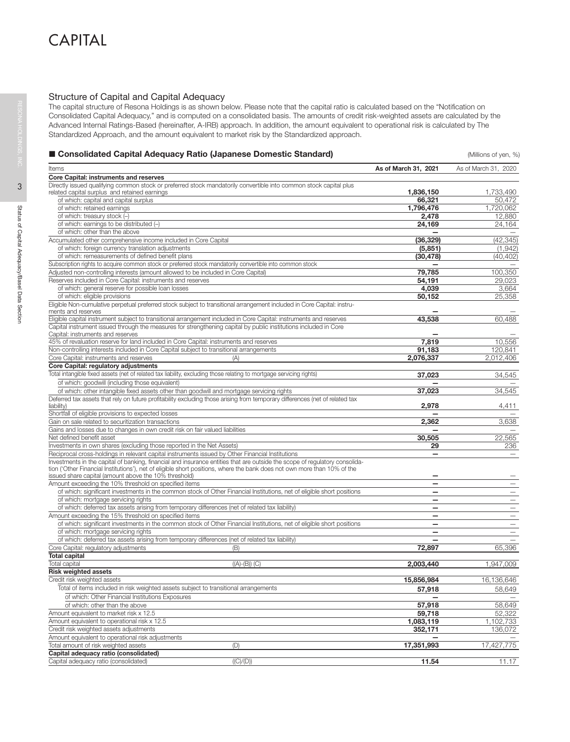# Structure of Capital and Capital Adequacy

The capital structure of Resona Holdings is as shown below. Please note that the capital ratio is calculated based on the "Notification on Consolidated Capital Adequacy," and is computed on a consolidated basis. The amounts of credit risk-weighted assets are calculated by the Advanced Internal Ratings-Based (hereinafter, A-IRB) approach. In addition, the amount equivalent to operational risk is calculated by The Standardized Approach, and the amount equivalent to market risk by the Standardized approach.

# ■ Consolidated Capital Adequacy Ratio (Japanese Domestic Standard) and the Consolidated Capital Adequacy Ratio (Japanese Domestic Standard)

| Items                                                                                                                                         | As of March 31, 2021     | As of March 31, 2020          |
|-----------------------------------------------------------------------------------------------------------------------------------------------|--------------------------|-------------------------------|
| Core Capital: instruments and reserves                                                                                                        |                          |                               |
| Directly issued qualifying common stock or preferred stock mandatorily convertible into common stock capital plus                             |                          |                               |
| related capital surplus and retained earnings                                                                                                 | 1,836,150                | 1,733,490                     |
| of which: capital and capital surplus                                                                                                         | 66,321                   | 50,472                        |
| of which: retained earnings                                                                                                                   | 1,796,476                | 1,720,062                     |
| of which: treasury stock (-)                                                                                                                  | 2,478                    | 12,880                        |
| of which: earnings to be distributed (-)                                                                                                      | 24,169                   | 24,164                        |
| of which: other than the above                                                                                                                |                          |                               |
| Accumulated other comprehensive income included in Core Capital                                                                               | (36, 329)                | (42, 345)                     |
| of which: foreign currency translation adjustments                                                                                            | (5,851)                  | (1, 942)                      |
| of which: remeasurements of defined benefit plans                                                                                             | (30, 478)                | (40, 402)                     |
| Subscription rights to acquire common stock or preferred stock mandatorily convertible into common stock                                      |                          |                               |
| Adjusted non-controlling interests (amount allowed to be included in Core Capital)                                                            | 79,785                   | 100,350<br>29.023             |
| Reserves included in Core Capital: instruments and reserves                                                                                   | 54,191                   |                               |
| of which: general reserve for possible loan losses                                                                                            | 4,039                    | 3,664                         |
| of which: eligible provisions                                                                                                                 | 50,152                   | 25,358                        |
| Eligible Non-cumulative perpetual preferred stock subject to transitional arrangement included in Core Capital: instru-<br>ments and reserves |                          |                               |
| Eligible capital instrument subject to transitional arrangement included in Core Capital: instruments and reserves                            | 43,538                   | 60,488                        |
| Capital instrument issued through the measures for strengthening capital by public institutions included in Core                              |                          |                               |
| Capital: instruments and reserves                                                                                                             |                          |                               |
| 45% of revaluation reserve for land included in Core Capital: instruments and reserves                                                        | 7,819                    | 10,556                        |
| Non-controlling interests included in Core Capital subject to transitional arrangements                                                       | 91,183                   | 120,841                       |
| Core Capital: instruments and reserves<br>(A)                                                                                                 | 2,076,337                | 2,012,406                     |
| Core Capital: regulatory adjustments                                                                                                          |                          |                               |
| Total intangible fixed assets (net of related tax liability, excluding those relating to mortgage servicing rights)                           | 37.023                   | 34,545                        |
| of which: goodwill (including those equivalent)                                                                                               |                          |                               |
| of which: other intangible fixed assets other than goodwill and mortgage servicing rights                                                     | 37,023                   | 34,545                        |
| Deferred tax assets that rely on future profitability excluding those arising from temporary differences (net of related tax                  |                          |                               |
| liability)                                                                                                                                    | 2,978                    | 4,411                         |
| Shortfall of eligible provisions to expected losses                                                                                           |                          |                               |
| Gain on sale related to securitization transactions                                                                                           | 2,362                    | 3,638                         |
| Gains and losses due to changes in own credit risk on fair valued liabilities                                                                 |                          |                               |
| Net defined benefit asset                                                                                                                     | 30,505                   | 22,565                        |
| Investments in own shares (excluding those reported in the Net Assets)                                                                        | 29                       | 236                           |
| Reciprocal cross-holdings in relevant capital instruments issued by Other Financial Institutions                                              | $\overline{\phantom{0}}$ |                               |
| Investments in the capital of banking, financial and insurance entities that are outside the scope of regulatory consolida-                   |                          |                               |
| tion ('Other Financial Institutions'), net of eligible short positions, where the bank does not own more than 10% of the                      |                          |                               |
| issued share capital (amount above the 10% threshold)<br>Amount exceeding the 10% threshold on specified items                                | $\overline{\phantom{0}}$ | $\overline{\phantom{0}}$      |
| of which: significant investments in the common stock of Other Financial Institutions, net of eligible short positions                        |                          |                               |
| of which: mortgage servicing rights                                                                                                           | -                        | $\qquad \qquad -$             |
| of which: deferred tax assets arising from temporary differences (net of related tax liability)                                               | -                        | —                             |
| Amount exceeding the 15% threshold on specified items                                                                                         | $\overline{\phantom{0}}$ | —<br>$\overline{\phantom{0}}$ |
| of which: significant investments in the common stock of Other Financial Institutions, net of eligible short positions                        | $\equiv$                 | $=$                           |
| of which: mortgage servicing rights                                                                                                           |                          |                               |
| of which: deferred tax assets arising from temporary differences (net of related tax liability)                                               |                          |                               |
| Core Capital: regulatory adjustments<br>(B)                                                                                                   | 72,897                   | 65,396                        |
| <b>Total capital</b>                                                                                                                          |                          |                               |
| $((A)-(B))$ (C)<br><b>Total capital</b>                                                                                                       | 2,003,440                | 1,947,009                     |
| <b>Risk weighted assets</b>                                                                                                                   |                          |                               |
| Credit risk weighted assets                                                                                                                   | 15,856,984               | 16.136.646                    |
| Total of items included in risk weighted assets subject to transitional arrangements                                                          |                          |                               |
| of which: Other Financial Institutions Exposures                                                                                              | 57,918                   | 58,649                        |
| of which: other than the above                                                                                                                | 57,918                   | 58,649                        |
| Amount equivalent to market risk x 12.5                                                                                                       | 59,718                   | 52,322                        |
| Amount equivalent to operational risk x 12.5                                                                                                  | 1,083,119                | 1,102,733                     |
| Credit risk weighted assets adjustments                                                                                                       | 352,171                  | 136,072                       |
| Amount equivalent to operational risk adjustments                                                                                             |                          |                               |
| Total amount of risk weighted assets<br>(D)                                                                                                   | 17,351,993               | 17,427,775                    |
| Capital adequacy ratio (consolidated)                                                                                                         |                          |                               |
| ((C)/(D))<br>Capital adequacy ratio (consolidated)                                                                                            | 11.54                    | 11.17                         |
|                                                                                                                                               |                          |                               |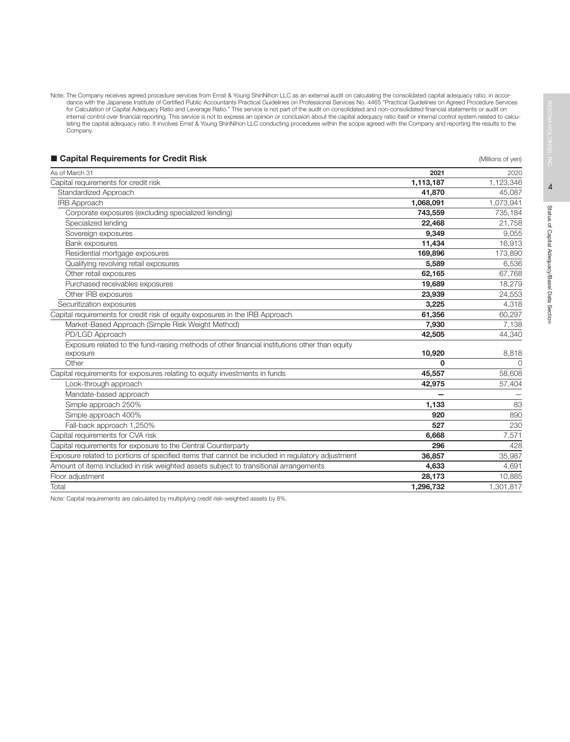Note: The Company receives agreed procedure services from Ernst & Young ShinNihon LLC as an external audit on calculating the consolidated capital adequacy ratio, in accor-<br>dance with the Japanese Institute of Certified Pu internal control over financial reporting. This service is not to express an opinion or conclusion about the capital adequacy ratio itself or internal control system related to calculating the capital adequacy ratio. It involves Ernst & Young ShinNihon LLC conducting procedures within the scope agreed with the Company and reporting the results to the Company.

| ■ Capital Requirements for Credit Risk                                                           |           | (Millions of yen) |
|--------------------------------------------------------------------------------------------------|-----------|-------------------|
| As of March 31                                                                                   | 2021      | 2020              |
| Capital requirements for credit risk                                                             | 1,113,187 | 1,123,346         |
| Standardized Approach                                                                            | 41,870    | 45,087            |
| <b>IRB Approach</b>                                                                              | 1,068,091 | 1,073,941         |
| Corporate exposures (excluding specialized lending)                                              | 743,559   | 735,184           |
| Specialized lending                                                                              | 22,468    | 21,758            |
| Sovereign exposures                                                                              | 9.349     | 9,055             |
| Bank exposures                                                                                   | 11,434    | 16,913            |
| Residential mortgage exposures                                                                   | 169,896   | 173,890           |
| Qualifying revolving retail exposures                                                            | 5,589     | 6,536             |
| Other retail exposures                                                                           | 62,165    | 67,768            |
| Purchased receivables exposures                                                                  | 19,689    | 18,279            |
| Other IRB exposures                                                                              | 23,939    | 24,553            |
| Securitization exposures                                                                         | 3,225     | 4,318             |
| Capital requirements for credit risk of equity exposures in the IRB Approach                     | 61,356    | 60,297            |
| Market-Based Approach (Simple Risk Weight Method)                                                | 7.930     | 7,138             |
| PD/LGD Approach                                                                                  | 42,505    | 44,340            |
| Exposure related to the fund-raising methods of other financial institutions other than equity   |           |                   |
| exposure                                                                                         | 10,920    | 8,818             |
| Other                                                                                            | 0         | $\circ$           |
| Capital requirements for exposures relating to equity investments in funds                       | 45,557    | 58,608            |
| Look-through approach                                                                            | 42,975    | 57,404            |
| Mandate-based approach                                                                           |           |                   |
| Simple approach 250%                                                                             | 1,133     | 83                |
| Simple approach 400%                                                                             | 920       | 890               |
| Fall-back approach 1,250%                                                                        | 527       | 230               |
| Capital requirements for CVA risk                                                                | 6,668     | 7,571             |
| Capital requirements for exposure to the Central Counterparty                                    | 296       | 428               |
| Exposure related to portions of specified items that cannot be included in requlatory adjustment | 36,857    | 35,987            |
| Amount of items included in risk weighted assets subject to transitional arrangements            | 4,633     | 4,691             |
| Floor adjustment                                                                                 | 28,173    | 10,885            |
| Total                                                                                            | 1,296,732 | 1,301,817         |
|                                                                                                  |           |                   |

Note: Capital requirements are calculated by multiplying credit risk-weighted assets by 8%.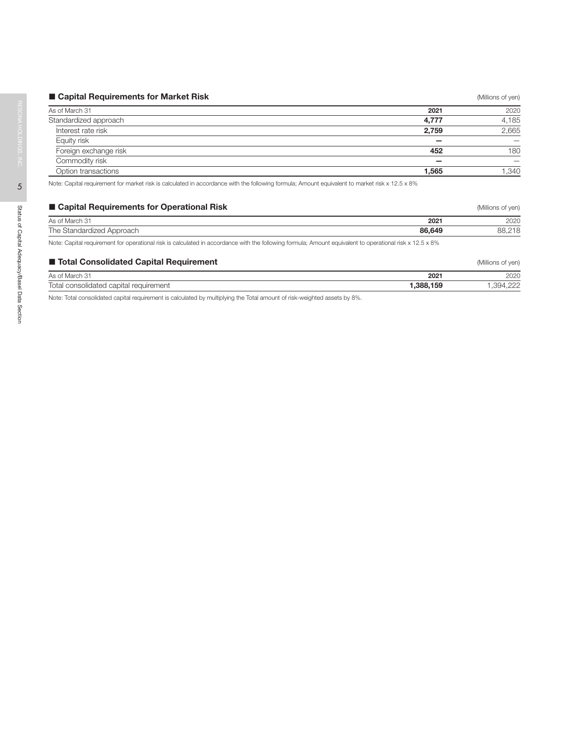| ■ Capital Requirements for Market Risk                                                                                                                   |       | (Millions of yen) |
|----------------------------------------------------------------------------------------------------------------------------------------------------------|-------|-------------------|
| As of March 31                                                                                                                                           | 2021  | 2020              |
| Standardized approach                                                                                                                                    | 4,777 | 4,185             |
| Interest rate risk                                                                                                                                       | 2,759 | 2,665             |
| Equity risk                                                                                                                                              |       |                   |
| Foreign exchange risk                                                                                                                                    | 452   | 180               |
| Commodity risk                                                                                                                                           |       |                   |
| Option transactions                                                                                                                                      | 1.565 |                   |
| Nickel Ocallel according and for accident delighted in a completency with the following formation American conductor to accident about 10 F $\alpha$ OO/ |       | .340              |

Note: Capital requirement for market risk is calculated in accordance with the following formula; Amount equivalent to market risk x 12.5 x 8%

| ■ Capital Requirements for Operational Risk                                                                                                              |        | (Millions of yen) |
|----------------------------------------------------------------------------------------------------------------------------------------------------------|--------|-------------------|
| As of March 31                                                                                                                                           | 2021   | 2020              |
| The Standardized Approach                                                                                                                                | 86,649 | 88.218            |
| Note: Capital requirement for operational risk is calculated in accordance with the following formula; Amount equivalent to operational risk x 12.5 x 8% |        |                   |
| ■ Total Consolidated Capital Requirement                                                                                                                 |        | (Millions of yen) |
| As of March 31                                                                                                                                           | 2021   | 2020              |

Total consolidated capital requirement **1,388,159** 1,394,222

Note: Total consolidated capital requirement is calculated by multiplying the Total amount of risk-weighted assets by 8%.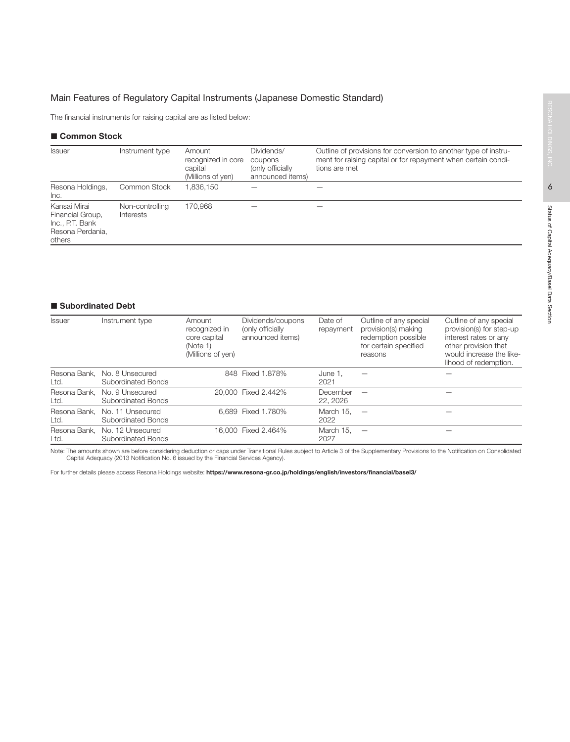# Main Features of Regulatory Capital Instruments (Japanese Domestic Standard)

The financial instruments for raising capital are as listed below:

# ■ Common Stock

| <b>Issuer</b>                                                                     | Instrument type              | Amount<br>recognized in core<br>capital<br>(Millions of yen) | Dividends/<br>coupons<br>(only officially<br>announced items) | Outline of provisions for conversion to another type of instru-<br>ment for raising capital or for repayment when certain condi-<br>tions are met |
|-----------------------------------------------------------------------------------|------------------------------|--------------------------------------------------------------|---------------------------------------------------------------|---------------------------------------------------------------------------------------------------------------------------------------------------|
| Resona Holdings,<br>Inc.                                                          | Common Stock                 | 1,836,150                                                    |                                                               |                                                                                                                                                   |
| Kansai Mirai<br>Financial Group,<br>Inc., P.T. Bank<br>Resona Perdania.<br>others | Non-controlling<br>Interests | 170,968                                                      |                                                               |                                                                                                                                                   |

# ■ Subordinated Debt

| <b>Issuer</b>        | Instrument type                        | Amount<br>recognized in<br>core capital<br>(Note 1)<br>(Millions of yen) | Dividends/coupons<br>(only officially<br>announced items) | Date of<br>repayment | Outline of any special<br>provision(s) making<br>redemption possible<br>for certain specified<br>reasons | Outline of any special<br>provision(s) for step-up<br>interest rates or any<br>other provision that<br>would increase the like-<br>lihood of redemption. |
|----------------------|----------------------------------------|--------------------------------------------------------------------------|-----------------------------------------------------------|----------------------|----------------------------------------------------------------------------------------------------------|----------------------------------------------------------------------------------------------------------------------------------------------------------|
| Resona Bank.<br>Ltd. | No. 8 Unsecured<br>Subordinated Bonds  |                                                                          | 848 Fixed 1.878%                                          | June 1.<br>2021      |                                                                                                          |                                                                                                                                                          |
| Resona Bank.<br>Ltd. | No. 9 Unsecured<br>Subordinated Bonds  |                                                                          | 20,000 Fixed 2.442%                                       | December<br>22, 2026 |                                                                                                          |                                                                                                                                                          |
| Resona Bank.<br>Ltd. | No. 11 Unsecured<br>Subordinated Bonds |                                                                          | 6.689 Fixed 1.780%                                        | March 15.<br>2022    | $\overline{\phantom{a}}$                                                                                 |                                                                                                                                                          |
| Resona Bank.<br>Ltd. | No. 12 Unsecured<br>Subordinated Bonds |                                                                          | 16,000 Fixed 2.464%                                       | March 15.<br>2027    |                                                                                                          |                                                                                                                                                          |

Note: The amounts shown are before considering deduction or caps under Transitional Rules subject to Article 3 of the Supplementary Provisions to the Notification on Consolidated<br>Capital Adequacy (2013 Notification No. 6 i

For further details please access Resona Holdings website: https://www.resona-gr.co.jp/holdings/english/investors/financial/basel3/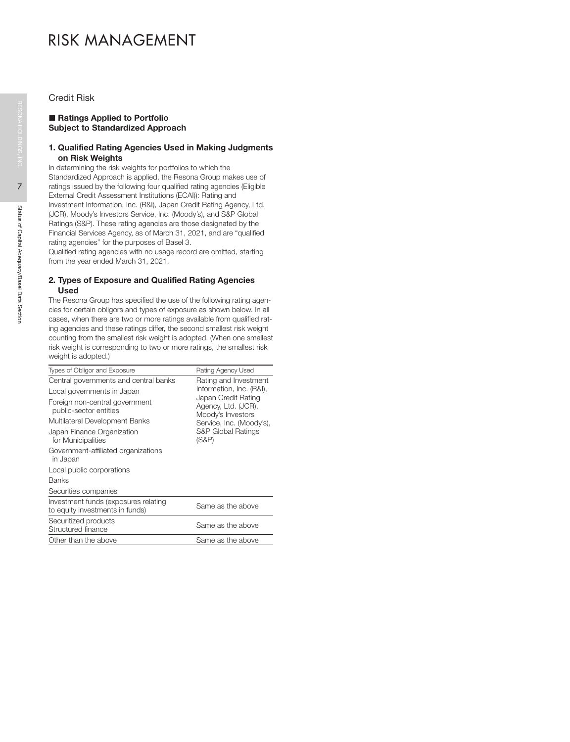# RISK MANAGEMENT

Credit Risk

# ■ Ratings Applied to Portfolio Subject to Standardized Approach

# 1. Qualified Rating Agencies Used in Making Judgments on Risk Weights

In determining the risk weights for portfolios to which the Standardized Approach is applied, the Resona Group makes use of ratings issued by the following four qualified rating agencies (Eligible External Credit Assessment Institutions (ECAI)): Rating and Investment Information, Inc. (R&I), Japan Credit Rating Agency, Ltd. (JCR), Moody's Investors Service, Inc. (Moody's), and S&P Global Ratings (S&P). These rating agencies are those designated by the Financial Services Agency, as of March 31, 2021, and are "qualified rating agencies" for the purposes of Basel 3.

Qualified rating agencies with no usage record are omitted, starting from the year ended March 31, 2021.

# 2. Types of Exposure and Qualified Rating Agencies Used

The Resona Group has specified the use of the following rating agencies for certain obligors and types of exposure as shown below. In all cases, when there are two or more ratings available from qualified rating agencies and these ratings differ, the second smallest risk weight counting from the smallest risk weight is adopted. (When one smallest risk weight is corresponding to two or more ratings, the smallest risk weight is adopted.)

| Types of Obligor and Exposure                                           | Rating Agency Used                                |
|-------------------------------------------------------------------------|---------------------------------------------------|
| Central governments and central banks                                   | Rating and Investment<br>Information, Inc. (R&I), |
| Local governments in Japan                                              | Japan Credit Rating                               |
| Foreign non-central government<br>public-sector entities                | Agency, Ltd. (JCR),<br>Moody's Investors          |
| Multilateral Development Banks                                          | Service, Inc. (Moody's),                          |
| Japan Finance Organization<br>for Municipalities                        | <b>S&amp;P Global Ratings</b><br>$(S\&P)$         |
| Government-affiliated organizations<br>in Japan                         |                                                   |
| Local public corporations                                               |                                                   |
| <b>Banks</b>                                                            |                                                   |
| Securities companies                                                    |                                                   |
| Investment funds (exposures relating<br>to equity investments in funds) | Same as the above                                 |
| Securitized products<br>Structured finance                              | Same as the above                                 |
| Other than the above                                                    | Same as the above                                 |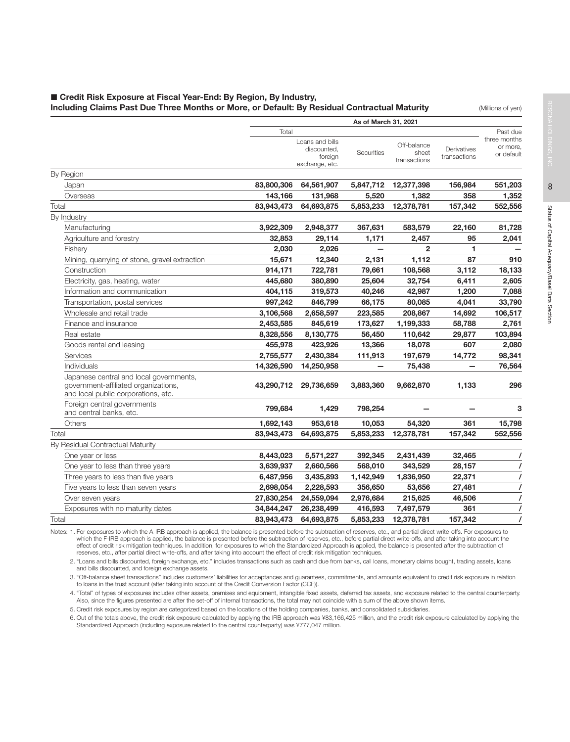# ■ Credit Risk Exposure at Fiscal Year-End: By Region, By Industry, Including Claims Past Due Three Months or More, or Default: By Residual Contractual Maturity **(Millions of yen)**

|                                                                                                                        |            |                                | As of March 31, 2021 |                       |              |                                      |
|------------------------------------------------------------------------------------------------------------------------|------------|--------------------------------|----------------------|-----------------------|--------------|--------------------------------------|
|                                                                                                                        | Total      | Loans and bills<br>discounted, |                      | Off-balance           | Derivatives  | Past due<br>three months<br>or more, |
|                                                                                                                        |            | foreign<br>exchange, etc.      | <b>Securities</b>    | sheet<br>transactions | transactions | or default                           |
| By Region                                                                                                              |            |                                |                      |                       |              |                                      |
| Japan                                                                                                                  | 83,800,306 | 64,561,907                     | 5,847,712            | 12,377,398            | 156,984      | 551,203                              |
| Overseas                                                                                                               | 143,166    | 131,968                        | 5,520                | 1,382                 | 358          | 1,352                                |
| Total                                                                                                                  | 83,943,473 | 64,693,875                     | 5,853,233            | 12,378,781            | 157,342      | 552,556                              |
| By Industry                                                                                                            |            |                                |                      |                       |              |                                      |
| Manufacturing                                                                                                          | 3,922,309  | 2,948,377                      | 367,631              | 583,579               | 22,160       | 81,728                               |
| Agriculture and forestry                                                                                               | 32,853     | 29,114                         | 1,171                | 2.457                 | 95           | 2,041                                |
| Fishery                                                                                                                | 2,030      | 2,026                          |                      | $\overline{2}$        | 1            |                                      |
| Mining, quarrying of stone, gravel extraction                                                                          | 15,671     | 12,340                         | 2,131                | 1,112                 | 87           | 910                                  |
| Construction                                                                                                           | 914,171    | 722,781                        | 79,661               | 108,568               | 3,112        | 18,133                               |
| Electricity, gas, heating, water                                                                                       | 445,680    | 380,890                        | 25,604               | 32,754                | 6,411        | 2,605                                |
| Information and communication                                                                                          | 404,115    | 319,573                        | 40,246               | 42,987                | 1,200        | 7,088                                |
| Transportation, postal services                                                                                        | 997,242    | 846,799                        | 66,175               | 80,085                | 4,041        | 33,790                               |
| Wholesale and retail trade                                                                                             | 3,106,568  | 2,658,597                      | 223,585              | 208,867               | 14,692       | 106,517                              |
| Finance and insurance                                                                                                  | 2,453,585  | 845,619                        | 173,627              | 1,199,333             | 58,788       | 2,761                                |
| Real estate                                                                                                            | 8,328,556  | 8,130,775                      | 56,450               | 110,642               | 29,877       | 103,894                              |
| Goods rental and leasing                                                                                               | 455,978    | 423,926                        | 13,366               | 18,078                | 607          | 2,080                                |
| Services                                                                                                               | 2,755,577  | 2,430,384                      | 111,913              | 197,679               | 14,772       | 98,341                               |
| Individuals                                                                                                            | 14,326,590 | 14,250,958                     |                      | 75,438                | —            | 76,564                               |
| Japanese central and local governments,<br>government-affiliated organizations,<br>and local public corporations, etc. | 43,290,712 | 29,736,659                     | 3,883,360            | 9,662,870             | 1,133        | 296                                  |
| Foreign central governments<br>and central banks, etc.                                                                 | 799,684    | 1,429                          | 798,254              |                       |              | 3                                    |
| Others                                                                                                                 | 1,692,143  | 953,618                        | 10,053               | 54,320                | 361          | 15,798                               |
| Total                                                                                                                  | 83,943,473 | 64,693,875                     | 5,853,233            | 12,378,781            | 157,342      | 552,556                              |
| By Residual Contractual Maturity                                                                                       |            |                                |                      |                       |              |                                      |
| One year or less                                                                                                       | 8,443,023  | 5,571,227                      | 392,345              | 2,431,439             | 32,465       |                                      |
| One year to less than three years                                                                                      | 3,639,937  | 2,660,566                      | 568,010              | 343,529               | 28,157       | $\prime$                             |
| Three years to less than five years                                                                                    | 6,487,956  | 3,435,893                      | 1,142,949            | 1,836,950             | 22,371       | $\prime$                             |
| Five years to less than seven years                                                                                    | 2,698,054  | 2,228,593                      | 356,650              | 53,656                | 27,481       | $\prime$                             |
| Over seven years                                                                                                       | 27,830,254 | 24,559,094                     | 2,976,684            | 215,625               | 46,506       | $\prime$                             |
| Exposures with no maturity dates                                                                                       | 34,844,247 | 26,238,499                     | 416,593              | 7,497,579             | 361          | $\prime$                             |
| Total                                                                                                                  | 83,943,473 | 64,693,875                     | 5,853,233            | 12,378,781            | 157,342      | $\prime$                             |
|                                                                                                                        |            |                                |                      |                       |              |                                      |

Notes: 1. For exposures to which the A-IRB approach is applied, the balance is presented before the subtraction of reserves, etc., and partial direct write-offs. For exposures to which the F-IRB approach is applied, the balance is presented before the subtraction of reserves, etc., before partial direct write-offs, and after taking into account the effect of credit risk mitigation techniques. In addition, for exposures to which the Standardized Approach is applied, the balance is presented after the subtraction of reserves, etc., after partial direct write-offs, and after taking into account the effect of credit risk mitigation techniques.

2. "Loans and bills discounted, foreign exchange, etc." includes transactions such as cash and due from banks, call loans, monetary claims bought, trading assets, loans and bills discounted, and foreign exchange assets.

3. "Off-balance sheet transactions" includes customers' liabilities for acceptances and guarantees, commitments, and amounts equivalent to credit risk exposure in relation to loans in the trust account (after taking into account of the Credit Conversion Factor (CCF)).

4. "Total" of types of exposures includes other assets, premises and equipment, intangible fixed assets, deferred tax assets, and exposure related to the central counterparty. Also, since the figures presented are after the set-off of internal transactions, the total may not coincide with a sum of the above shown items.

5. Credit risk exposures by region are categorized based on the locations of the holding companies, banks, and consolidated subsidiaries.

6. Out of the totals above, the credit risk exposure calculated by applying the IRB approach was ¥83,166,425 million, and the credit risk exposure calculated by applying the Standardized Approach (including exposure related to the central counterparty) was ¥777,047 million.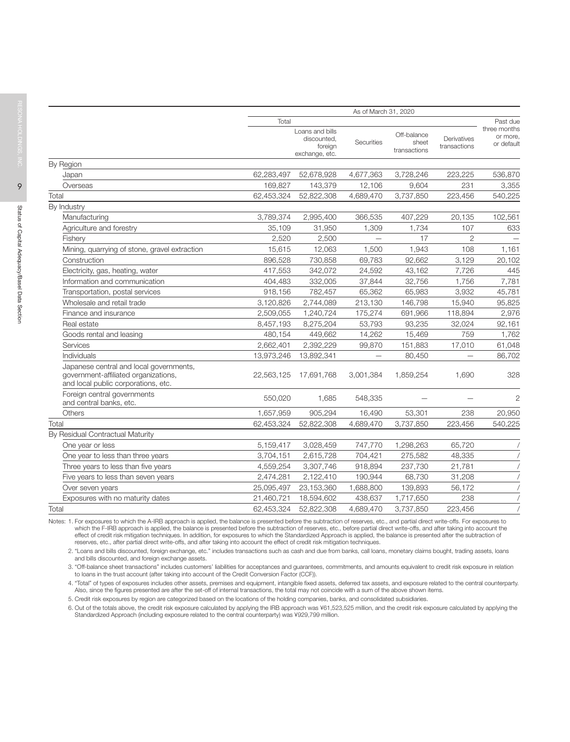|                                                                                                                        |            | As of March 31, 2020                                        |            |                                      |                             |                                        |
|------------------------------------------------------------------------------------------------------------------------|------------|-------------------------------------------------------------|------------|--------------------------------------|-----------------------------|----------------------------------------|
|                                                                                                                        | Total      |                                                             |            |                                      |                             | Past due                               |
|                                                                                                                        |            | Loans and bills<br>discounted,<br>foreign<br>exchange, etc. | Securities | Off-balance<br>sheet<br>transactions | Derivatives<br>transactions | three months<br>or more,<br>or default |
| By Region                                                                                                              |            |                                                             |            |                                      |                             |                                        |
| Japan                                                                                                                  | 62,283,497 | 52,678,928                                                  | 4,677,363  | 3,728,246                            | 223,225                     | 536,870                                |
| Overseas                                                                                                               | 169,827    | 143,379                                                     | 12,106     | 9,604                                | 231                         | 3,355                                  |
| Total                                                                                                                  | 62,453,324 | 52,822,308                                                  | 4,689,470  | 3,737,850                            | 223,456                     | 540,225                                |
| By Industry                                                                                                            |            |                                                             |            |                                      |                             |                                        |
| Manufacturing                                                                                                          | 3,789,374  | 2,995,400                                                   | 366,535    | 407,229                              | 20,135                      | 102,561                                |
| Agriculture and forestry                                                                                               | 35.109     | 31,950                                                      | 1,309      | 1,734                                | 107                         | 633                                    |
| Fisherv                                                                                                                | 2.520      | 2.500                                                       |            | 17                                   | $\overline{2}$              |                                        |
| Mining, quarrying of stone, gravel extraction                                                                          | 15,615     | 12,063                                                      | 1,500      | 1,943                                | 108                         | 1,161                                  |
| Construction                                                                                                           | 896,528    | 730,858                                                     | 69,783     | 92,662                               | 3,129                       | 20,102                                 |
| Electricity, gas, heating, water                                                                                       | 417,553    | 342,072                                                     | 24,592     | 43,162                               | 7,726                       | 445                                    |
| Information and communication                                                                                          | 404,483    | 332,005                                                     | 37,844     | 32,756                               | 1,756                       | 7,781                                  |
| Transportation, postal services                                                                                        | 918,156    | 782,457                                                     | 65,362     | 65,983                               | 3,932                       | 45,781                                 |
| Wholesale and retail trade                                                                                             | 3,120,826  | 2,744,089                                                   | 213,130    | 146,798                              | 15,940                      | 95,825                                 |
| Finance and insurance                                                                                                  | 2,509,055  | 1,240,724                                                   | 175,274    | 691,966                              | 118,894                     | 2,976                                  |
| Real estate                                                                                                            | 8,457,193  | 8,275,204                                                   | 53,793     | 93,235                               | 32,024                      | 92,161                                 |
| Goods rental and leasing                                                                                               | 480,154    | 449,662                                                     | 14,262     | 15,469                               | 759                         | 1,762                                  |
| Services                                                                                                               | 2,662,401  | 2,392,229                                                   | 99,870     | 151,883                              | 17,010                      | 61,048                                 |
| Individuals                                                                                                            | 13,973,246 | 13,892,341                                                  |            | 80,450                               |                             | 86,702                                 |
| Japanese central and local governments,<br>government-affiliated organizations,<br>and local public corporations, etc. | 22,563,125 | 17,691,768                                                  | 3,001,384  | 1,859,254                            | 1,690                       | 328                                    |
| Foreign central governments<br>and central banks, etc.                                                                 | 550,020    | 1,685                                                       | 548,335    |                                      |                             | $\overline{2}$                         |
| <b>Others</b>                                                                                                          | 1,657,959  | 905,294                                                     | 16,490     | 53,301                               | 238                         | 20,950                                 |
| Total                                                                                                                  | 62,453,324 | 52,822,308                                                  | 4,689,470  | 3,737,850                            | 223,456                     | 540,225                                |
| By Residual Contractual Maturity                                                                                       |            |                                                             |            |                                      |                             |                                        |
| One year or less                                                                                                       | 5,159,417  | 3,028,459                                                   | 747,770    | 1,298,263                            | 65,720                      |                                        |
| One year to less than three years                                                                                      | 3,704,151  | 2,615,728                                                   | 704,421    | 275,582                              | 48,335                      |                                        |
| Three years to less than five years                                                                                    | 4,559,254  | 3,307,746                                                   | 918,894    | 237,730                              | 21,781                      |                                        |
| Five years to less than seven years                                                                                    | 2,474,281  | 2,122,410                                                   | 190,944    | 68,730                               | 31,208                      |                                        |
| Over seven years                                                                                                       | 25,095,497 | 23,153,360                                                  | 1,688,800  | 139,893                              | 56,172                      |                                        |
| Exposures with no maturity dates                                                                                       | 21,460,721 | 18,594,602                                                  | 438,637    | 1,717,650                            | 238                         |                                        |
| Total                                                                                                                  | 62,453,324 | 52,822,308                                                  | 4,689,470  | 3,737,850                            | 223,456                     |                                        |

Notes: 1. For exposures to which the A-IRB approach is applied, the balance is presented before the subtraction of reserves, etc., and partial direct write-offs. For exposures to which the F-IRB approach is applied, the balance is presented before the subtraction of reserves, etc., before partial direct write-offs, and after taking into account the effect of credit risk mitigation techniques. In addition, for exposures to which the Standardized Approach is applied, the balance is presented after the subtraction of reserves, etc., after partial direct write-offs, and after taking into account the effect of credit risk mitigation techniques.

2. "Loans and bills discounted, foreign exchange, etc." includes transactions such as cash and due from banks, call loans, monetary claims bought, trading assets, loans and bills discounted, and foreign exchange assets.

3. "Off-balance sheet transactions" includes customers' liabilities for acceptances and guarantees, commitments, and amounts equivalent to credit risk exposure in relation to loans in the trust account (after taking into account of the Credit Conversion Factor (CCF)).

4. "Total" of types of exposures includes other assets, premises and equipment, intangible fixed assets, deferred tax assets, and exposure related to the central counterparty. Also, since the figures presented are after the set-off of internal transactions, the total may not coincide with a sum of the above shown items.

5. Credit risk exposures by region are categorized based on the locations of the holding companies, banks, and consolidated subsidiaries.

6. Out of the totals above, the credit risk exposure calculated by applying the IRB approach was ¥61,523,525 million, and the credit risk exposure calculated by applying the Standardized Approach (including exposure related to the central counterparty) was ¥929,799 million.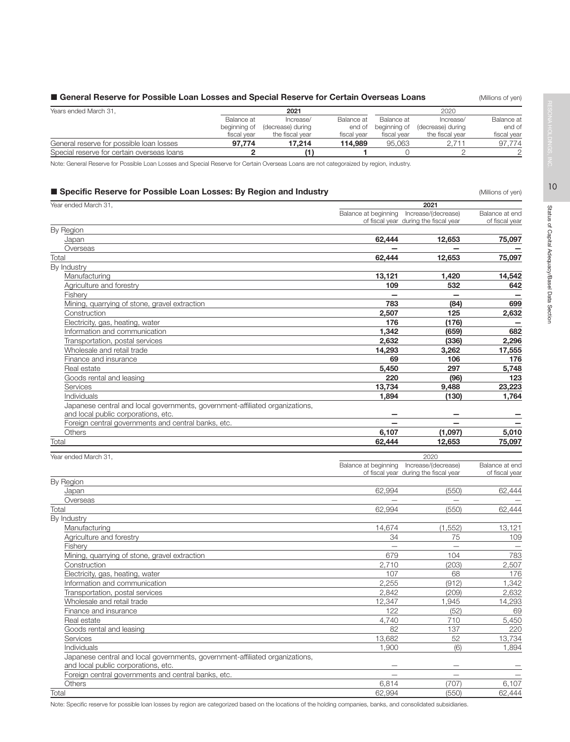# General Reserve for Possible Loan Losses and Special Reserve for Certain Overseas Loans (Millions of yen)

| Years ended March 31,                      |              | 2021              |             |              |                   |             |
|--------------------------------------------|--------------|-------------------|-------------|--------------|-------------------|-------------|
|                                            | Balance at   | Increase/         | Balance at  | Balance at   | Increase/         | Balance at  |
|                                            | beginning of | (decrease) during | end of      | beginning of | (decrease) during | end of      |
|                                            | fiscal vear  | the fiscal vear   | fiscal vear | fiscal vear  | the fiscal vear   | fiscal year |
| General reserve for possible loan losses   | 97.774       | 17.214            | 114.989     | 95.063       |                   | 97.774      |
| Special reserve for certain overseas loans |              |                   |             |              |                   |             |

Note: General Reserve for Possible Loan Losses and Special Reserve for Certain Overseas Loans are not categoraized by region, industry.

# **Specific Reserve for Possible Loan Losses: By Region and Industry Specific Reserve for Possible Loan Losses: By Region and Industry Conductions** (Millions of yen)

| Year ended March 31,                                                                                                |                                           | 2021                                  |                |
|---------------------------------------------------------------------------------------------------------------------|-------------------------------------------|---------------------------------------|----------------|
|                                                                                                                     | Balance at beginning  Increase/(decrease) |                                       | Balance at end |
|                                                                                                                     |                                           | of fiscal year during the fiscal year | of fiscal year |
| By Region                                                                                                           |                                           |                                       |                |
| Japan                                                                                                               | 62,444                                    | 12,653                                | 75,097         |
| Overseas                                                                                                            |                                           |                                       |                |
| Total                                                                                                               | 62,444                                    | 12,653                                | 75,097         |
| By Industry                                                                                                         |                                           |                                       |                |
| Manufacturing                                                                                                       | 13,121                                    | 1,420                                 | 14,542         |
| Agriculture and forestry                                                                                            | 109                                       | 532                                   | 642            |
| Fishery                                                                                                             | $\overline{\phantom{0}}$                  | $\overline{\phantom{0}}$              |                |
| Mining, quarrying of stone, gravel extraction                                                                       | 783                                       | (84)                                  | 699            |
| Construction                                                                                                        | 2,507                                     | 125                                   | 2,632          |
| Electricity, gas, heating, water                                                                                    | 176                                       | (176)                                 |                |
| Information and communication                                                                                       | 1,342                                     | (659)                                 | 682            |
| Transportation, postal services                                                                                     | 2,632                                     | (336)                                 | 2,296          |
| Wholesale and retail trade                                                                                          | 14,293                                    | 3,262                                 | 17,555         |
| Finance and insurance                                                                                               | 69                                        | 106                                   | 176            |
| Real estate                                                                                                         | 5,450                                     | 297                                   | 5,748          |
| Goods rental and leasing                                                                                            | 220                                       | (96)                                  | 123            |
| Services                                                                                                            | 13,734                                    | 9,488                                 | 23,223         |
| <b>Individuals</b>                                                                                                  | 1,894                                     | (130)                                 | 1,764          |
| Japanese central and local governments, government-affiliated organizations,<br>and local public corporations, etc. |                                           |                                       |                |
| Foreign central governments and central banks, etc.                                                                 |                                           |                                       |                |
| <b>Others</b>                                                                                                       | 6,107                                     | (1,097)                               | 5,010          |
| Total                                                                                                               | 62,444                                    | 12,653                                | 75,097         |
|                                                                                                                     |                                           |                                       |                |
|                                                                                                                     |                                           |                                       |                |
| Year ended March 31.                                                                                                |                                           | 2020                                  |                |
|                                                                                                                     | Balance at beginning  Increase/(decrease) |                                       | Balance at end |
|                                                                                                                     |                                           | of fiscal year during the fiscal year | of fiscal year |
| By Region                                                                                                           |                                           |                                       |                |
| Japan                                                                                                               | 62,994                                    | (550)                                 | 62,444         |
| Overseas                                                                                                            |                                           |                                       |                |
| Total                                                                                                               | 62,994                                    | (550)                                 | 62,444         |
| By Industry                                                                                                         |                                           |                                       |                |
| Manufacturing                                                                                                       | 14,674                                    | (1, 552)                              | 13,121         |
| Agriculture and forestry                                                                                            | 34                                        | 75                                    | 109            |
| Fishery                                                                                                             |                                           | $\qquad \qquad -$                     |                |
| Mining, quarrying of stone, gravel extraction                                                                       | 679                                       | 104                                   | 783            |
| Construction                                                                                                        | 2,710                                     | (203)                                 | 2,507          |
| Electricity, gas, heating, water                                                                                    | 107                                       | 68                                    | 176            |
| Information and communication                                                                                       | 2,255                                     | (912)                                 | 1,342          |
| Transportation, postal services                                                                                     | 2,842                                     | (209)                                 | 2,632          |
| Wholesale and retail trade                                                                                          | 12,347                                    | 1,945                                 | 14,293         |
| Finance and insurance                                                                                               | 122                                       | (52)                                  | 69             |
| Real estate                                                                                                         | 4,740                                     | 710                                   | 5,450          |
| Goods rental and leasing                                                                                            | 82                                        | 137                                   | 220            |
| Services                                                                                                            | 13,682                                    | 52                                    | 13,734         |
| <b>Individuals</b>                                                                                                  | 1,900                                     | (6)                                   | 1.894          |
| Japanese central and local governments, government-affiliated organizations,<br>and local public corporations, etc. |                                           |                                       |                |
| Foreign central governments and central banks, etc.                                                                 |                                           |                                       |                |

Total 62,994 (550) 62,444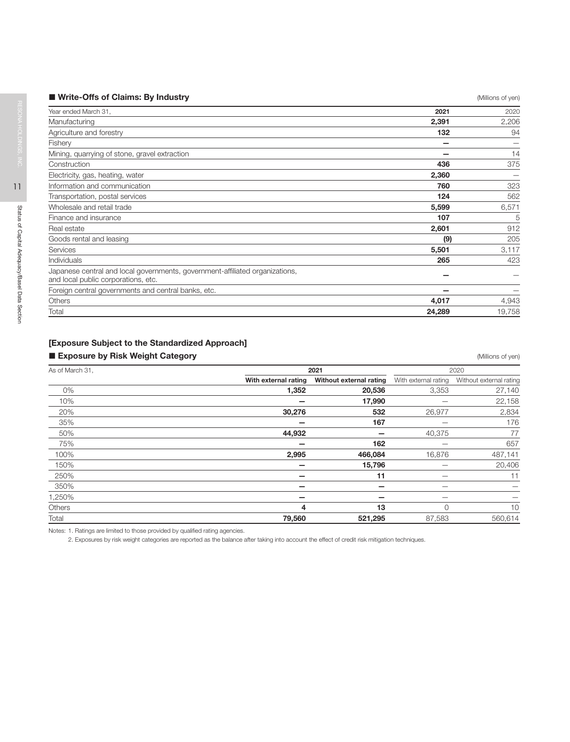| ■ Write-Offs of Claims: By Industry | (Millions of yen) |
|-------------------------------------|-------------------|
|-------------------------------------|-------------------|

| Year ended March 31,                                                                                                | 2021   | 2020   |
|---------------------------------------------------------------------------------------------------------------------|--------|--------|
| Manufacturing                                                                                                       | 2,391  | 2,206  |
| Agriculture and forestry                                                                                            | 132    | 94     |
| Fishery                                                                                                             |        |        |
| Mining, quarrying of stone, gravel extraction                                                                       |        | 14     |
| Construction                                                                                                        | 436    | 375    |
| Electricity, gas, heating, water                                                                                    | 2,360  |        |
| Information and communication                                                                                       | 760    | 323    |
| Transportation, postal services                                                                                     | 124    | 562    |
| Wholesale and retail trade                                                                                          | 5,599  | 6,571  |
| Finance and insurance                                                                                               | 107    | 5      |
| Real estate                                                                                                         | 2,601  | 912    |
| Goods rental and leasing                                                                                            | (9)    | 205    |
| Services                                                                                                            | 5,501  | 3,117  |
| Individuals                                                                                                         | 265    | 423    |
| Japanese central and local governments, government-affiliated organizations,<br>and local public corporations, etc. |        |        |
| Foreign central governments and central banks, etc.                                                                 |        |        |
| Others                                                                                                              | 4,017  | 4,943  |
| Total                                                                                                               | 24,289 | 19,758 |

# [Exposure Subject to the Standardized Approach]

# **Exposure by Risk Weight Category Exposure by Risk Weight Category CALL 2008 CALL 2009 (Millions of yen)**

| As of March 31, | 2021                 | 2020                    |                      |                          |
|-----------------|----------------------|-------------------------|----------------------|--------------------------|
|                 | With external rating | Without external rating | With external rating | Without external rating  |
| 0%              | 1,352                | 20,536                  | 3,353                | 27,140                   |
| 10%             |                      | 17,990                  |                      | 22,158                   |
| 20%             | 30,276               | 532                     | 26,977               | 2,834                    |
| 35%             |                      | 167                     |                      | 176                      |
| 50%             | 44,932               |                         | 40,375               | 77                       |
| 75%             |                      | 162                     |                      | 657                      |
| 100%            | 2,995                | 466,084                 | 16,876               | 487,141                  |
| 150%            |                      | 15,796                  |                      | 20,406                   |
| 250%            |                      | 11                      |                      | 11                       |
| 350%            |                      |                         |                      | $\overline{\phantom{m}}$ |
| 1,250%          |                      |                         |                      |                          |
| Others          | 4                    | 13                      |                      | 10                       |
| Total           | 79,560               | 521,295                 | 87,583               | 560,614                  |

Notes: 1. Ratings are limited to those provided by qualified rating agencies.

2. Exposures by risk weight categories are reported as the balance after taking into account the effect of credit risk mitigation techniques.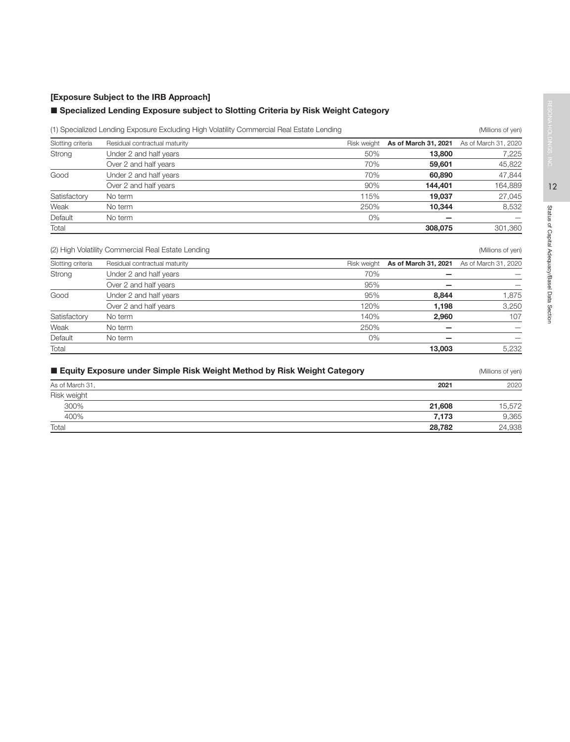# [Exposure Subject to the IRB Approach]

# ■ Specialized Lending Exposure subject to Slotting Criteria by Risk Weight Category

|                             | (1) Specialized Lending Exposure Excluding High Volatility Commercial Real Estate Lending |                    |                           | (Millions of yen)    |
|-----------------------------|-------------------------------------------------------------------------------------------|--------------------|---------------------------|----------------------|
| Slotting criteria           | Residual contractual maturity                                                             | Risk weight        | As of March 31, 2021      | As of March 31, 2020 |
| Strong                      | Under 2 and half years                                                                    | 50%                | 13,800                    | 7,225                |
|                             | Over 2 and half years                                                                     | 70%                | 59,601                    | 45,822               |
| Good                        | Under 2 and half years                                                                    | 70%                | 60,890                    | 47,844               |
|                             | Over 2 and half years                                                                     | 90%                | 144,401                   | 164,889              |
| Satisfactory                | No term                                                                                   | 115%               | 19,037                    | 27,045               |
| Weak                        | No term                                                                                   | 250%               | 10,344                    | 8,532                |
| Default                     | No term                                                                                   | $0\%$              |                           |                      |
| Total                       |                                                                                           |                    | 308.075                   | 301,360              |
| Slotting criteria<br>Strong | Residual contractual maturity<br>Under 2 and half years                                   | Risk weight<br>70% | As of March 31, 2021<br>- | As of March 31, 2020 |
|                             |                                                                                           |                    |                           |                      |
|                             |                                                                                           | 95%                |                           |                      |
|                             | Over 2 and half years                                                                     |                    |                           |                      |
| Good                        | Under 2 and half years                                                                    | 95%                | 8,844                     | 1,875                |
|                             | Over 2 and half years                                                                     | 120%               | 1,198                     | 3,250                |
| Satisfactory                | No term                                                                                   | 140%               | 2,960                     | 107                  |
| Weak                        | No term                                                                                   | 250%               | -                         |                      |
| Default                     | No term                                                                                   | 0%                 |                           |                      |
| Total                       |                                                                                           |                    | 13,003                    | 5,232                |
|                             | ■ Equity Exposure under Simple Risk Weight Method by Risk Weight Category                 |                    |                           | (Millions of yen)    |
|                             |                                                                                           |                    |                           |                      |
| As of March 31,             |                                                                                           |                    | 2021                      | 2020                 |
| Risk weight                 |                                                                                           |                    |                           |                      |

| As of March 31, | 2021   | 2020   |
|-----------------|--------|--------|
| Risk weight     |        |        |
| 300%            | 21.608 | 15,572 |
| 400%            | 7.173  | 9,365  |
| Total           | 28,782 | 24,938 |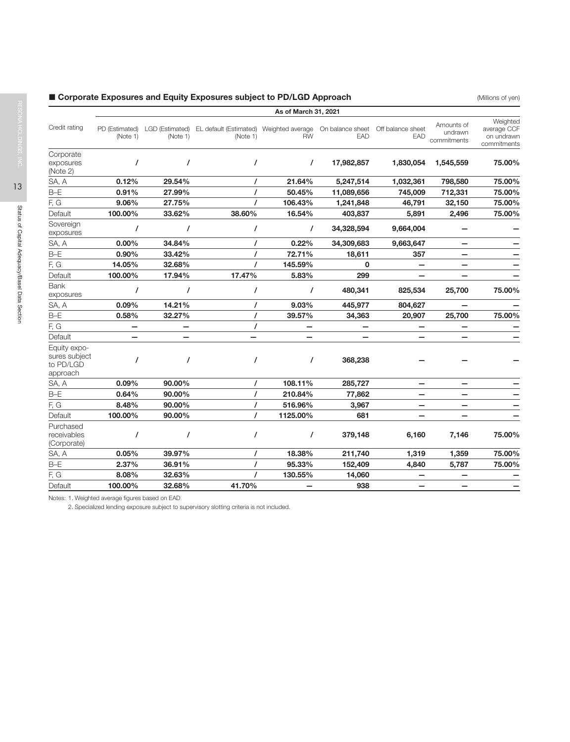# ■ Corporate Exposures and Equity Exposures subject to PD/LGD Approach (Millions of yen)

|                                                        |                            |          |                                                                                      | As of March 31, 2021 |            |                          |                                      |                                                      |
|--------------------------------------------------------|----------------------------|----------|--------------------------------------------------------------------------------------|----------------------|------------|--------------------------|--------------------------------------|------------------------------------------------------|
| Credit rating                                          | PD (Estimated)<br>(Note 1) | (Note 1) | LGD (Estimated) EL default (Estimated) Weighted average On balance sheet<br>(Note 1) | <b>RW</b>            | EAD        | Off balance sheet<br>EAD | Amounts of<br>undrawn<br>commitments | Weighted<br>average CCF<br>on undrawn<br>commitments |
| Corporate<br>exposures<br>(Note 2)                     | $\prime$                   | I        | $\prime$                                                                             | $\prime$             | 17,982,857 | 1,830,054                | 1,545,559                            | 75.00%                                               |
| SA, A                                                  | 0.12%                      | 29.54%   | $\prime$                                                                             | 21.64%               | 5,247,514  | 1,032,361                | 798,580                              | 75.00%                                               |
| $B-E$                                                  | 0.91%                      | 27.99%   |                                                                                      | 50.45%               | 11,089,656 | 745,009                  | 712,331                              | 75.00%                                               |
| F, G                                                   | 9.06%                      | 27.75%   |                                                                                      | 106.43%              | 1,241,848  | 46,791                   | 32,150                               | 75.00%                                               |
| Default                                                | 100.00%                    | 33.62%   | 38.60%                                                                               | 16.54%               | 403,837    | 5,891                    | 2,496                                | 75.00%                                               |
| Sovereign<br>exposures                                 |                            | I        | $\prime$                                                                             | $\prime$             | 34,328,594 | 9,664,004                |                                      |                                                      |
| SA, A                                                  | 0.00%                      | 34.84%   |                                                                                      | 0.22%                | 34,309,683 | 9,663,647                |                                      |                                                      |
| $B-E$                                                  | 0.90%                      | 33.42%   |                                                                                      | 72.71%               | 18,611     | 357                      | $\qquad \qquad$                      |                                                      |
| F, G                                                   | 14.05%                     | 32.68%   |                                                                                      | 145.59%              | 0          | -                        | $\qquad \qquad$                      |                                                      |
| Default                                                | 100.00%                    | 17.94%   | 17.47%                                                                               | 5.83%                | 299        | —                        |                                      |                                                      |
| <b>Bank</b><br>exposures                               |                            | 7        | $\prime$                                                                             | 7                    | 480,341    | 825,534                  | 25,700                               | 75.00%                                               |
| SA, A                                                  | 0.09%                      | 14.21%   |                                                                                      | 9.03%                | 445,977    | 804,627                  |                                      |                                                      |
| $B - E$                                                | 0.58%                      | 32.27%   | $\prime$                                                                             | 39.57%               | 34,363     | 20,907                   | 25,700                               | 75.00%                                               |
| F, G                                                   | -                          | -        | $\prime$                                                                             | —                    |            | -                        |                                      |                                                      |
| Default                                                |                            |          |                                                                                      |                      |            |                          |                                      |                                                      |
| Equity expo-<br>sures subject<br>to PD/LGD<br>approach |                            |          | $\prime$                                                                             | T                    | 368,238    |                          |                                      |                                                      |
| SA, A                                                  | 0.09%                      | 90.00%   | $\prime$                                                                             | 108.11%              | 285,727    |                          |                                      |                                                      |
| $B-E$                                                  | 0.64%                      | 90.00%   | $\prime$                                                                             | 210.84%              | 77,862     | —                        |                                      |                                                      |
| F, G                                                   | 8.48%                      | 90.00%   | $\prime$                                                                             | 516.96%              | 3,967      | -                        |                                      |                                                      |
| Default                                                | 100.00%                    | 90.00%   | $\prime$                                                                             | 1125.00%             | 681        |                          |                                      |                                                      |
| Purchased<br>receivables<br>(Corporate)                | I                          | 7        | $\prime$                                                                             | 7                    | 379,148    | 6,160                    | 7,146                                | 75.00%                                               |
| SA, A                                                  | 0.05%                      | 39.97%   | 7                                                                                    | 18.38%               | 211,740    | 1,319                    | 1,359                                | 75.00%                                               |
| $B-E$                                                  | 2.37%                      | 36.91%   |                                                                                      | 95.33%               | 152,409    | 4,840                    | 5,787                                | 75.00%                                               |
| F, G                                                   | 8.08%                      | 32.63%   |                                                                                      | 130.55%              | 14,060     | —                        |                                      |                                                      |
| Default                                                | 100.00%                    | 32.68%   | 41.70%                                                                               |                      | 938        | —                        | $\overline{\phantom{0}}$             |                                                      |
|                                                        |                            |          |                                                                                      |                      |            |                          |                                      |                                                      |

Notes: 1. Weighted average figures based on EAD

2. Specialized lending exposure subject to supervisory slotting criteria is not included.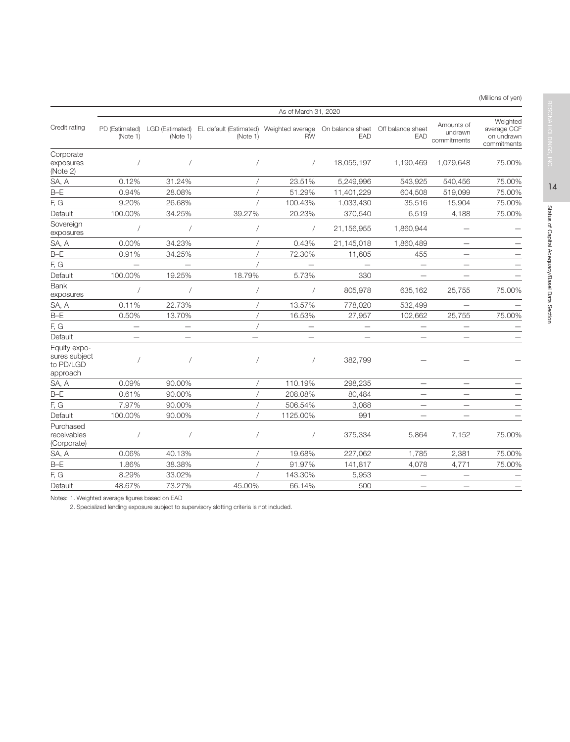(Millions of yen)

|                                                        |                          | As of March 31, 2020 |                                                                                                                       |                          |            |                                  |                                      |                                                      |  |  |  |  |  |
|--------------------------------------------------------|--------------------------|----------------------|-----------------------------------------------------------------------------------------------------------------------|--------------------------|------------|----------------------------------|--------------------------------------|------------------------------------------------------|--|--|--|--|--|
| Credit rating                                          | (Note 1)                 | (Note 1)             | PD (Estimated) LGD (Estimated) EL default (Estimated) Weighted average On balance sheet Off balance sheet<br>(Note 1) | <b>RW</b>                | EAD        | EAD                              | Amounts of<br>undrawn<br>commitments | Weighted<br>average CCF<br>on undrawn<br>commitments |  |  |  |  |  |
| Corporate<br>exposures<br>(Note 2)                     |                          |                      |                                                                                                                       | $\sqrt{2}$               | 18,055,197 | 1,190,469                        | 1,079,648                            | 75.00%                                               |  |  |  |  |  |
| SA, A                                                  | 0.12%                    | 31.24%               |                                                                                                                       | 23.51%                   | 5,249,996  | 543,925                          | 540,456                              | 75.00%                                               |  |  |  |  |  |
| $B-E$                                                  | 0.94%                    | 28.08%               |                                                                                                                       | 51.29%                   | 11,401,229 | 604,508                          | 519,099                              | 75.00%                                               |  |  |  |  |  |
| F, G                                                   | 9.20%                    | 26.68%               |                                                                                                                       | 100.43%                  | 1,033,430  | 35,516                           | 15,904                               | 75.00%                                               |  |  |  |  |  |
| Default                                                | 100.00%                  | 34.25%               | 39.27%                                                                                                                | 20.23%                   | 370,540    | 6,519                            | 4,188                                | 75.00%                                               |  |  |  |  |  |
| Sovereign<br>exposures                                 | $\sqrt{2}$               | $\sqrt{2}$           |                                                                                                                       | $\sqrt{2}$               | 21,156,955 | 1,860,944                        |                                      |                                                      |  |  |  |  |  |
| SA, A                                                  | 0.00%                    | 34.23%               |                                                                                                                       | 0.43%                    | 21,145,018 | 1,860,489                        |                                      |                                                      |  |  |  |  |  |
| $B-E$                                                  | 0.91%                    | 34.25%               |                                                                                                                       | 72.30%                   | 11,605     | 455                              | —                                    |                                                      |  |  |  |  |  |
| F, G                                                   | $\overline{\phantom{0}}$ |                      |                                                                                                                       |                          |            |                                  | $\overline{\phantom{0}}$             |                                                      |  |  |  |  |  |
| Default                                                | 100.00%                  | 19.25%               | 18.79%                                                                                                                | 5.73%                    | 330        |                                  |                                      |                                                      |  |  |  |  |  |
| <b>Bank</b><br>exposures                               | $\sqrt{2}$               |                      |                                                                                                                       | $\sqrt{2}$               | 805,978    | 635,162                          | 25,755                               | 75.00%                                               |  |  |  |  |  |
| SA, A                                                  | 0.11%                    | 22.73%               |                                                                                                                       | 13.57%                   | 778,020    | 532,499                          |                                      |                                                      |  |  |  |  |  |
| $B-E$                                                  | 0.50%                    | 13.70%               |                                                                                                                       | 16.53%                   | 27,957     | 102,662                          | 25,755                               | 75.00%                                               |  |  |  |  |  |
| F, G                                                   |                          |                      |                                                                                                                       | $\overline{\phantom{0}}$ |            |                                  | —                                    |                                                      |  |  |  |  |  |
| Default                                                |                          |                      |                                                                                                                       |                          |            |                                  |                                      |                                                      |  |  |  |  |  |
| Equity expo-<br>sures subject<br>to PD/LGD<br>approach |                          |                      |                                                                                                                       | $\sqrt{2}$               | 382,799    |                                  |                                      |                                                      |  |  |  |  |  |
| SA, A                                                  | 0.09%                    | 90.00%               |                                                                                                                       | 110.19%                  | 298,235    | $\overbrace{\phantom{12322111}}$ | $\overline{\phantom{0}}$             |                                                      |  |  |  |  |  |
| $B-E$                                                  | 0.61%                    | 90.00%               |                                                                                                                       | 208.08%                  | 80,484     |                                  | -                                    |                                                      |  |  |  |  |  |
| F, G                                                   | 7.97%                    | 90.00%               |                                                                                                                       | 506.54%                  | 3,088      | $\qquad \qquad -$                | -                                    |                                                      |  |  |  |  |  |
| Default                                                | 100.00%                  | 90.00%               |                                                                                                                       | 1125.00%                 | 991        | $\overline{\phantom{0}}$         | $\overline{\phantom{0}}$             |                                                      |  |  |  |  |  |
| Purchased<br>receivables<br>(Corporate)                |                          |                      |                                                                                                                       | $\sqrt{2}$               | 375,334    | 5,864                            | 7,152                                | 75.00%                                               |  |  |  |  |  |
| SA, A                                                  | 0.06%                    | 40.13%               |                                                                                                                       | 19.68%                   | 227,062    | 1,785                            | 2,381                                | 75.00%                                               |  |  |  |  |  |
| $B-E$                                                  | 1.86%                    | 38.38%               |                                                                                                                       | 91.97%                   | 141,817    | 4,078                            | 4,771                                | 75.00%                                               |  |  |  |  |  |
| F, G                                                   | 8.29%                    | 33.02%               |                                                                                                                       | 143.30%                  | 5,953      |                                  |                                      |                                                      |  |  |  |  |  |
| Default                                                | 48.67%                   | 73.27%               | 45.00%                                                                                                                | 66.14%                   | 500        |                                  | $\overline{\phantom{0}}$             |                                                      |  |  |  |  |  |

Notes: 1. Weighted average figures based on EAD

2. Specialized lending exposure subject to supervisory slotting criteria is not included.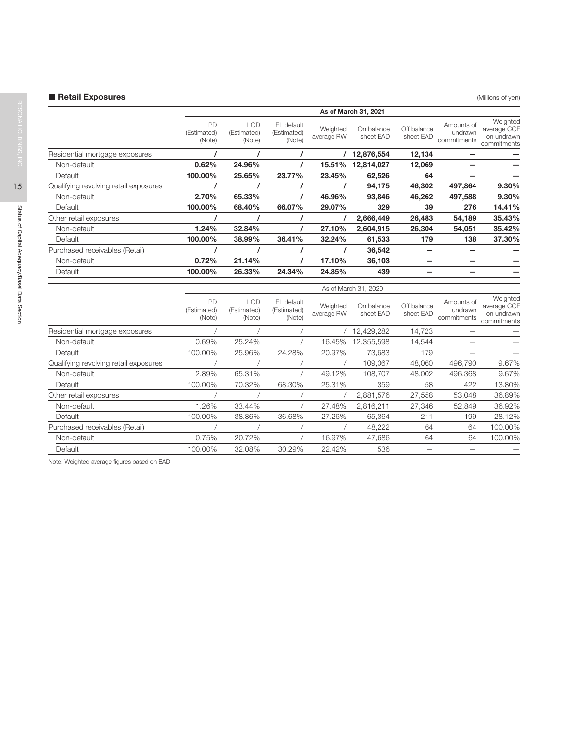# ■ Retail Exposures (Millions of yen)

| As of March 31, 2021        |                              |                                     |                        |                         |                          |                                      |                                                      |
|-----------------------------|------------------------------|-------------------------------------|------------------------|-------------------------|--------------------------|--------------------------------------|------------------------------------------------------|
| PD<br>(Estimated)<br>(Note) | LGD<br>(Estimated)<br>(Note) | EL default<br>(Estimated)<br>(Note) | Weighted<br>average RW | On balance<br>sheet EAD | Off balance<br>sheet EAD | Amounts of<br>undrawn<br>commitments | Weighted<br>average CCF<br>on undrawn<br>commitments |
|                             |                              |                                     |                        | 12,876,554              | 12,134                   |                                      |                                                      |
| 0.62%                       | 24.96%                       |                                     | 15.51%                 | 12,814,027              | 12,069                   |                                      |                                                      |
| 100.00%                     | 25.65%                       | 23.77%                              | 23.45%                 | 62,526                  | 64                       |                                      |                                                      |
|                             |                              |                                     |                        | 94,175                  | 46,302                   | 497,864                              | 9.30%                                                |
| 2.70%                       | 65.33%                       |                                     | 46.96%                 | 93,846                  | 46,262                   | 497,588                              | 9.30%                                                |
| 100.00%                     | 68.40%                       | 66.07%                              | 29.07%                 | 329                     | 39                       | 276                                  | 14.41%                                               |
|                             |                              |                                     |                        | 2,666,449               | 26,483                   | 54,189                               | 35.43%                                               |
| 1.24%                       | 32.84%                       |                                     | 27.10%                 | 2,604,915               | 26,304                   | 54,051                               | 35.42%                                               |
| 100.00%                     | 38.99%                       | 36.41%                              | 32.24%                 | 61,533                  | 179                      | 138                                  | 37.30%                                               |
|                             |                              |                                     |                        | 36,542                  |                          |                                      |                                                      |
| 0.72%                       | 21.14%                       |                                     | 17.10%                 | 36,103                  |                          |                                      |                                                      |
| 100.00%                     | 26.33%                       | 24.34%                              | 24.85%                 | 439                     |                          |                                      |                                                      |
|                             |                              |                                     |                        |                         |                          |                                      |                                                      |

|                                       |                             |                              |                                     |                        | As of March 31, 2020    |                          |                                      |                                                      |
|---------------------------------------|-----------------------------|------------------------------|-------------------------------------|------------------------|-------------------------|--------------------------|--------------------------------------|------------------------------------------------------|
|                                       | PD<br>(Estimated)<br>(Note) | LGD<br>(Estimated)<br>(Note) | EL default<br>(Estimated)<br>(Note) | Weighted<br>average RW | On balance<br>sheet EAD | Off balance<br>sheet EAD | Amounts of<br>undrawn<br>commitments | Weighted<br>average CCF<br>on undrawn<br>commitments |
| Residential mortgage exposures        |                             |                              |                                     |                        | 12,429,282              | 14,723                   |                                      |                                                      |
| Non-default                           | 0.69%                       | 25.24%                       |                                     | 16.45%                 | 12,355,598              | 14,544                   |                                      |                                                      |
| Default                               | 100.00%                     | 25.96%                       | 24.28%                              | 20.97%                 | 73,683                  | 179                      |                                      |                                                      |
| Qualifying revolving retail exposures |                             |                              |                                     |                        | 109.067                 | 48,060                   | 496,790                              | 9.67%                                                |
| Non-default                           | 2.89%                       | 65.31%                       |                                     | 49.12%                 | 108.707                 | 48,002                   | 496,368                              | 9.67%                                                |
| Default                               | 100.00%                     | 70.32%                       | 68.30%                              | 25.31%                 | 359                     | 58                       | 422                                  | 13.80%                                               |
| Other retail exposures                |                             |                              |                                     |                        | 2,881,576               | 27,558                   | 53,048                               | 36.89%                                               |
| Non-default                           | .26%                        | 33.44%                       |                                     | 27.48%                 | 2,816,211               | 27,346                   | 52,849                               | 36.92%                                               |
| Default                               | 100.00%                     | 38.86%                       | 36.68%                              | 27.26%                 | 65,364                  | 211                      | 199                                  | 28.12%                                               |
| Purchased receivables (Retail)        |                             |                              |                                     |                        | 48,222                  | 64                       | 64                                   | 100.00%                                              |
| Non-default                           | 0.75%                       | 20.72%                       |                                     | 16.97%                 | 47,686                  | 64                       | 64                                   | 100.00%                                              |
| Default                               | 100.00%                     | 32.08%                       | 30.29%                              | 22.42%                 | 536                     |                          |                                      |                                                      |

Note: Weighted average figures based on EAD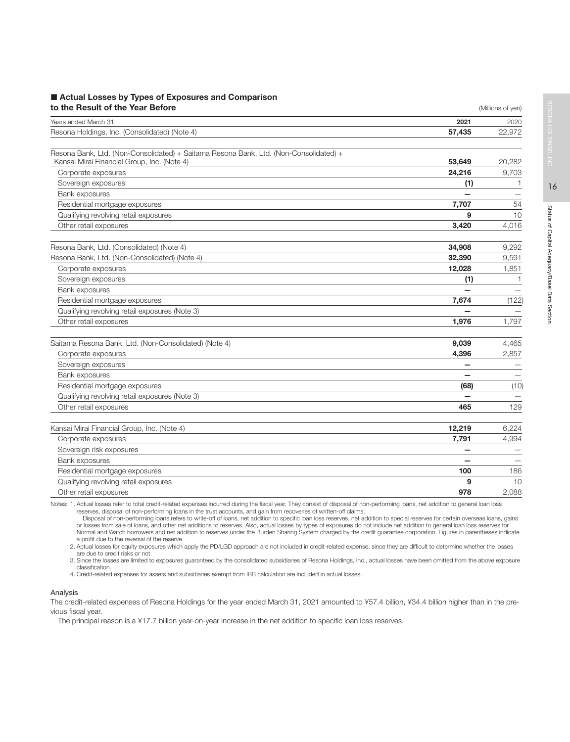### ■ Actual Losses by Types of Exposures and Comparison **to the Result of the Year Before** (Millions of yen) **to the Result of the Year Before**

| Years ended March 31,                                                                 | 2021   | 2020   |
|---------------------------------------------------------------------------------------|--------|--------|
| Resona Holdings, Inc. (Consolidated) (Note 4)                                         | 57,435 | 22,972 |
|                                                                                       |        |        |
| Resona Bank, Ltd. (Non-Consolidated) + Saitama Resona Bank, Ltd. (Non-Consolidated) + | 53,649 |        |
| Kansai Mirai Financial Group, Inc. (Note 4)                                           |        | 20,282 |
| Corporate exposures                                                                   | 24,216 | 9,703  |
| Sovereign exposures                                                                   | (1)    | 1      |
| Bank exposures                                                                        |        |        |
| Residential mortgage exposures                                                        | 7,707  | 54     |
| Qualifying revolving retail exposures                                                 | 9      | 10     |
| Other retail exposures                                                                | 3,420  | 4,016  |
| Resona Bank, Ltd. (Consolidated) (Note 4)                                             | 34,908 | 9,292  |
| Resona Bank, Ltd. (Non-Consolidated) (Note 4)                                         | 32,390 | 9,591  |
| Corporate exposures                                                                   | 12,028 | 1,851  |
| Sovereign exposures                                                                   | (1)    | -1     |
| Bank exposures                                                                        |        |        |
| Residential mortgage exposures                                                        | 7,674  | (122)  |
| Qualifying revolving retail exposures (Note 3)                                        |        |        |
| Other retail exposures                                                                | 1,976  | 1,797  |
|                                                                                       |        |        |
| Saitama Resona Bank, Ltd. (Non-Consolidated) (Note 4)                                 | 9,039  | 4,465  |
| Corporate exposures                                                                   | 4,396  | 2,857  |
| Sovereign exposures                                                                   |        |        |
| Bank exposures                                                                        |        |        |
| Residential mortgage exposures                                                        | (68)   | (10)   |
| Qualifying revolving retail exposures (Note 3)                                        |        |        |
| Other retail exposures                                                                | 465    | 129    |
|                                                                                       |        |        |
| Kansai Mirai Financial Group, Inc. (Note 4)                                           | 12,219 | 6,224  |
| Corporate exposures                                                                   | 7,791  | 4,994  |
| Sovereign risk exposures                                                              |        |        |
| Bank exposures                                                                        |        |        |
| Residential mortgage exposures                                                        | 100    | 186    |
| Qualifying revolving retail exposures                                                 | 9      | 10     |
| Other retail exposures                                                                | 978    | 2,088  |

Notes: 1. Actual losses refer to total credit-related expenses incurred during the fiscal year. They consist of disposal of non-performing loans, net addition to general loan loss reserves, disposal of non-performing loans in the trust accounts, and gain from recoveries of written-off claims.

Disposal of non-performing loans refers to write-off of loans, net addition to specific loan loss reserves, net addition to special reserves for certain overseas loans, gains or losses from sale of loans, and other net additions to reserves. Also, actual losses by types of exposures do not include net addition to general loan loss reserves for<br>Normal and Watch borrowers and net addition to rese a profit due to the reversal of the reserve.

2. Actual losses for equity exposures which apply the PD/LGD approach are not included in credit-related expense, since they are difficult to determine whether the losses are due to credit risks or not.

3. Since the losses are limited to exposures guaranteed by the consolidated subsidiaries of Resona Holdings, Inc., actual losses have been omitted from the above exposure classification.

4. Credit-related expenses for assets and subsidiaries exempt from IRB calculation are included in actual losses.

### Analysis

The credit-related expenses of Resona Holdings for the year ended March 31, 2021 amounted to ¥57.4 billion, ¥34.4 billion higher than in the previous fiscal year.

The principal reason is a ¥17.7 billion year-on-year increase in the net addition to specific loan loss reserves.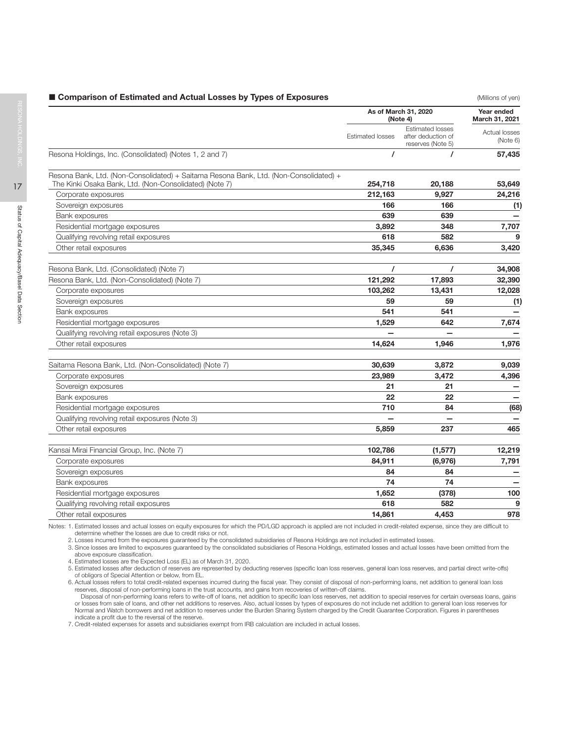### **Extending Comparison of Estimated and Actual Losses by Types of Exposures Comparison of Estimated and Actual Losses by Types of Exposures**

|                                                                                       | As of March 31, 2020<br>(Note 4) | Year ended<br>March 31, 2021                                       |                           |
|---------------------------------------------------------------------------------------|----------------------------------|--------------------------------------------------------------------|---------------------------|
|                                                                                       | <b>Estimated losses</b>          | <b>Estimated losses</b><br>after deduction of<br>reserves (Note 5) | Actual losses<br>(Note 6) |
| Resona Holdings, Inc. (Consolidated) (Notes 1, 2 and 7)                               | $\prime$                         |                                                                    | 57,435                    |
| Resona Bank, Ltd. (Non-Consolidated) + Saitama Resona Bank, Ltd. (Non-Consolidated) + |                                  |                                                                    |                           |
| The Kinki Osaka Bank, Ltd. (Non-Consolidated) (Note 7)                                | 254,718                          | 20,188                                                             | 53,649                    |
| Corporate exposures                                                                   | 212,163<br>166                   | 9,927<br>166                                                       | 24,216                    |
| Sovereign exposures                                                                   | 639                              | 639                                                                | (1)                       |
| <b>Bank exposures</b><br>Residential mortgage exposures                               | 3,892                            | 348                                                                | 7,707                     |
| Qualifying revolving retail exposures                                                 | 618                              | 582                                                                | 9                         |
| Other retail exposures                                                                | 35,345                           | 6,636                                                              | 3,420                     |
|                                                                                       |                                  |                                                                    |                           |
| Resona Bank, Ltd. (Consolidated) (Note 7)                                             | $\prime$                         | $\prime$                                                           | 34,908                    |
| Resona Bank, Ltd. (Non-Consolidated) (Note 7)                                         | 121,292                          | 17,893                                                             | 32,390                    |
| Corporate exposures                                                                   | 103,262                          | 13,431                                                             | 12,028                    |
| Sovereign exposures                                                                   | 59                               | 59                                                                 | (1)                       |
| Bank exposures                                                                        | 541                              | 541                                                                |                           |
| Residential mortgage exposures                                                        | 1.529                            | 642                                                                | 7,674                     |
| Qualifying revolving retail exposures (Note 3)                                        |                                  |                                                                    |                           |
| Other retail exposures                                                                | 14,624                           | 1,946                                                              | 1,976                     |
|                                                                                       |                                  |                                                                    |                           |
| Saitama Resona Bank, Ltd. (Non-Consolidated) (Note 7)                                 | 30,639                           | 3,872                                                              | 9,039                     |
| Corporate exposures                                                                   | 23,989                           | 3,472                                                              | 4,396                     |
| Sovereign exposures                                                                   | 21                               | 21                                                                 |                           |
| Bank exposures                                                                        | 22                               | 22                                                                 |                           |
| Residential mortgage exposures                                                        | 710                              | 84                                                                 | (68)                      |
| Qualifying revolving retail exposures (Note 3)                                        |                                  |                                                                    |                           |
| Other retail exposures                                                                | 5.859                            | 237                                                                | 465                       |
|                                                                                       |                                  |                                                                    |                           |
| Kansai Mirai Financial Group, Inc. (Note 7)                                           | 102,786                          | (1, 577)                                                           | 12,219                    |
| Corporate exposures                                                                   | 84,911                           | (6,976)                                                            | 7,791                     |
| Sovereign exposures                                                                   | 84                               | 84                                                                 |                           |
| Bank exposures                                                                        | 74                               | 74                                                                 |                           |
| Residential mortgage exposures                                                        | 1,652                            | (378)                                                              | 100                       |
| Qualifying revolving retail exposures                                                 | 618                              | 582                                                                | 9                         |
| Other retail exposures                                                                | 14,861                           | 4,453                                                              | 978                       |
|                                                                                       |                                  |                                                                    |                           |

Notes: 1. Estimated losses and actual losses on equity exposures for which the PD/LGD approach is applied are not included in credit-related expense, since they are difficult to determine whether the losses are due to credit risks or not.

2. Losses incurred from the exposures guaranteed by the consolidated subsidiaries of Resona Holdings are not included in estimated losses.

3. Since losses are limited to exposures guaranteed by the consolidated subsidiaries of Resona Holdings, estimated losses and actual losses have been omitted from the above exposure classification.

4. Estimated losses are the Expected Loss (EL) as of March 31, 2020.

5. Estimated losses after deduction of reserves are represented by deducting reserves (specific loan loss reserves, general loan loss reserves, and partial direct write-offs) of obligors of Special Attention or below, from EL.

6. Actual losses refers to total credit-related expenses incurred during the fiscal year. They consist of disposal of non-performing loans, net addition to general loan loss<br>reserves, disposal of non-performing loans in th

Disposal of non-performing loans refers to write-off of loans, net addition to specific loan loss reserves, net addition to special reserves for certain overseas loans, gains or losses from sale of loans, and other net additions to reserves. Also, actual losses by types of exposures do not include net addition to general loan loss reserves for Normal and Watch borrowers and net addition to reserves under the Burden Sharing System charged by the Credit Guarantee Corporation. Figures in parentheses indicate a profit due to the reversal of the reserve. 7. Credit-related expenses for assets and subsidiaries exempt from IRB calculation are included in actual losses.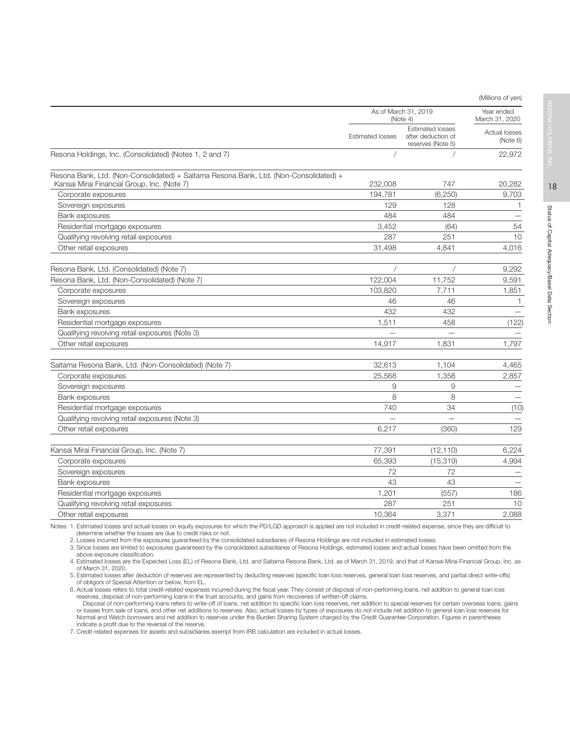|                                                                                                                                      |                         | As of March 31, 2019<br>(Note 4)                                   |                                                    |  |
|--------------------------------------------------------------------------------------------------------------------------------------|-------------------------|--------------------------------------------------------------------|----------------------------------------------------|--|
|                                                                                                                                      | <b>Estimated losses</b> | <b>Estimated losses</b><br>after deduction of<br>reserves (Note 5) | March 31, 2020<br><b>Actual losses</b><br>(Note 6) |  |
| Resona Holdings, Inc. (Consolidated) (Notes 1, 2 and 7)                                                                              |                         |                                                                    | 22,972                                             |  |
| Resona Bank, Ltd. (Non-Consolidated) + Saitama Resona Bank, Ltd. (Non-Consolidated) +<br>Kansai Mirai Financial Group, Inc. (Note 7) | 232,008                 | 747                                                                | 20,282                                             |  |
| Corporate exposures                                                                                                                  | 194,781                 | (6, 250)                                                           | 9,703                                              |  |
| Sovereign exposures                                                                                                                  | 129                     | 128                                                                | $\mathbf{1}$                                       |  |
| Bank exposures                                                                                                                       | 484                     | 484                                                                |                                                    |  |
| Residential mortgage exposures                                                                                                       | 3,452                   | (64)                                                               | 54                                                 |  |
| Qualifying revolving retail exposures                                                                                                | 287                     | 251                                                                | 10                                                 |  |
| Other retail exposures                                                                                                               | 31,498                  | 4,841                                                              | 4,016                                              |  |
| Resona Bank, Ltd. (Consolidated) (Note 7)                                                                                            |                         |                                                                    | 9,292                                              |  |
| Resona Bank, Ltd. (Non-Consolidated) (Note 7)                                                                                        | 122,004                 | 11,752                                                             | 9,591                                              |  |
| Corporate exposures                                                                                                                  | 103.820                 | 7,711                                                              | 1,851                                              |  |
| Sovereign exposures                                                                                                                  | 46                      | 46                                                                 | 1                                                  |  |
| Bank exposures                                                                                                                       | 432                     | 432                                                                |                                                    |  |
| Residential mortgage exposures                                                                                                       | 1,511                   | 458                                                                | (122)                                              |  |
| Qualifying revolving retail exposures (Note 3)                                                                                       |                         |                                                                    |                                                    |  |
| Other retail exposures                                                                                                               | 14,917                  | 1,831                                                              | 1,797                                              |  |
| Saitama Resona Bank, Ltd. (Non-Consolidated) (Note 7)                                                                                | 32,613                  | 1,104                                                              | 4,465                                              |  |
| Corporate exposures                                                                                                                  | 25,568                  | 1,358                                                              | 2,857                                              |  |
| Sovereign exposures                                                                                                                  | 9                       | 9                                                                  |                                                    |  |
| Bank exposures                                                                                                                       | 8                       | 8                                                                  |                                                    |  |
| Residential mortgage exposures                                                                                                       | 740                     | 34                                                                 | (10)                                               |  |
| Qualifying revolving retail exposures (Note 3)                                                                                       |                         |                                                                    |                                                    |  |
| Other retail exposures                                                                                                               | 6.217                   | (360)                                                              | 129                                                |  |
| Kansai Mirai Financial Group, Inc. (Note 7)                                                                                          | 77,391                  | (12, 110)                                                          | 6,224                                              |  |
| Corporate exposures                                                                                                                  | 65,393                  | (15, 319)                                                          | 4,994                                              |  |
| Sovereign exposures                                                                                                                  | 72                      | 72                                                                 |                                                    |  |
| Bank exposures                                                                                                                       | 43                      | 43                                                                 |                                                    |  |
| Residential mortgage exposures                                                                                                       | 1,201                   | (557)                                                              | 186                                                |  |
| Qualifying revolving retail exposures                                                                                                | 287                     | 251                                                                | 10                                                 |  |
| Other retail exposures                                                                                                               | 10,364                  | 3,371                                                              | 2,088                                              |  |

Notes: 1. Estimated losses and actual losses on equity exposures for which the PD/LGD approach is applied are not included in credit-related expense, since they are difficult to determine whether the losses are due to credit risks or not.

2. Losses incurred from the exposures guaranteed by the consolidated subsidiaries of Resona Holdings are not included in estimated losses.

3. Since losses are limited to exposures guaranteed by the consolidated subsidiaries of Resona Holdings, estimated losses and actual losses have been omitted from the above exposure classification.

4. Estimated losses are the Expected Loss (EL) of Resona Bank, Ltd. and Saitama Resona Bank, Ltd. as of March 31, 2019, and that of Kansai Mirai Financial Group, Inc. as of March 31, 2020.

5. Estimated losses after deduction of reserves are represented by deducting reserves (specific loan loss reserves, general loan loss reserves, and partial direct write-offs) of obligors of Special Attention or below, from EL.

6. Actual losses refers to total credit-related expenses incurred during the fiscal year. They consist of disposal of non-performing loans, net addition to general loan loss reserves, disposal of non-performing loans in the trust accounts, and gains from recoveries of written-off claims.

Disposal of non-performing loans refers to write-off of loans, net addition to specific loan loss reserves, net addition to special reserves for certain overseas loans, gains or losses from sale of loans, and other net additions to reserves. Also, actual losses by types of exposures do not include net addition to general loan loss reserves for Normal and Watch borrowers and net addition to reserves under the Burden Sharing System charged by the Credit Guarantee Corporation. Figures in parentheses indicate a profit due to the reversal of the reserve.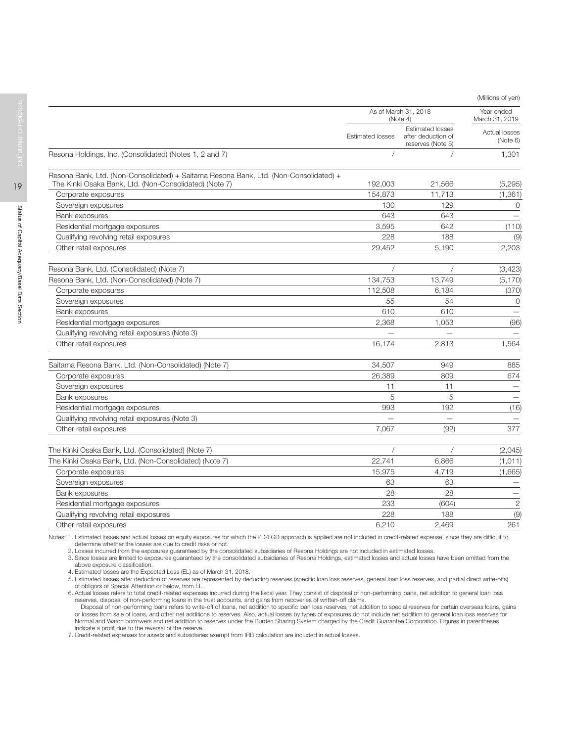(Millions of yen)

|                                                                                       |                         | As of March 31, 2018                                               | Year ended                |
|---------------------------------------------------------------------------------------|-------------------------|--------------------------------------------------------------------|---------------------------|
|                                                                                       |                         | (Note 4)                                                           | March 31, 2019            |
|                                                                                       | <b>Estimated losses</b> | <b>Estimated losses</b><br>after deduction of<br>reserves (Note 5) | Actual losses<br>(Note 6) |
| Resona Holdings, Inc. (Consolidated) (Notes 1, 2 and 7)                               |                         |                                                                    | 1,301                     |
| Resona Bank, Ltd. (Non-Consolidated) + Saitama Resona Bank, Ltd. (Non-Consolidated) + |                         |                                                                    |                           |
| The Kinki Osaka Bank, Ltd. (Non-Consolidated) (Note 7)                                | 192,003                 | 21,566                                                             | (5, 295)                  |
| Corporate exposures                                                                   | 154,873                 | 11,713                                                             | (1, 361)                  |
| Sovereign exposures                                                                   | 130                     | 129                                                                | 0                         |
| Bank exposures                                                                        | 643                     | 643                                                                |                           |
| Residential mortgage exposures                                                        | 3,595                   | 642                                                                | (110)                     |
| Qualifying revolving retail exposures                                                 | 228                     | 188                                                                | (9)                       |
| Other retail exposures                                                                | 29,452                  | 5,190                                                              | 2,203                     |
| Resona Bank, Ltd. (Consolidated) (Note 7)                                             |                         |                                                                    | (3, 423)                  |
| Resona Bank, Ltd. (Non-Consolidated) (Note 7)                                         | 134,753                 | 13.749                                                             | (5, 170)                  |
| Corporate exposures                                                                   | 112,508                 | 6,184                                                              | (370)                     |
| Sovereign exposures                                                                   | 55                      | 54                                                                 | $\Omega$                  |
| Bank exposures                                                                        | 610                     | 610                                                                | $\overline{\phantom{0}}$  |
| Residential mortgage exposures                                                        | 2,368                   | 1,053                                                              | (96)                      |
| Qualifying revolving retail exposures (Note 3)                                        |                         |                                                                    |                           |
| Other retail exposures                                                                | 16,174                  | 2.813                                                              | 1,564                     |
| Saitama Resona Bank, Ltd. (Non-Consolidated) (Note 7)                                 | 34,507                  | 949                                                                | 885                       |
| Corporate exposures                                                                   | 26,389                  | 809                                                                | 674                       |
| Sovereign exposures                                                                   | 11                      | 11                                                                 |                           |
| Bank exposures                                                                        | 5                       | 5                                                                  |                           |
| Residential mortgage exposures                                                        | 993                     | 192                                                                | (16)                      |
| Qualifying revolving retail exposures (Note 3)                                        |                         |                                                                    |                           |
| Other retail exposures                                                                | 7,067                   | (92)                                                               | 377                       |
| The Kinki Osaka Bank, Ltd. (Consolidated) (Note 7)                                    |                         |                                                                    | (2,045)                   |
| The Kinki Osaka Bank, Ltd. (Non-Consolidated) (Note 7)                                | 22,741                  | 6,866                                                              | (1,011)                   |
| Corporate exposures                                                                   | 15,975                  | 4,719                                                              | (1,665)                   |
| Sovereign exposures                                                                   | 63                      | 63                                                                 |                           |
| Bank exposures                                                                        | 28                      | 28                                                                 |                           |
| Residential mortgage exposures                                                        | 233                     | (604)                                                              | $\overline{c}$            |
| Qualifying revolving retail exposures                                                 | 228                     | 188                                                                | (9)                       |
| Other retail exposures                                                                | 6,210                   | 2,469                                                              | 261                       |
|                                                                                       |                         |                                                                    |                           |

Notes: 1. Estimated losses and actual losses on equity exposures for which the PD/LGD approach is applied are not included in credit-related expense, since they are difficult to determine whether the losses are due to credit risks or not.

2. Losses incurred from the exposures guaranteed by the consolidated subsidiaries of Resona Holdings are not included in estimated losses.

3. Since losses are limited to exposures guaranteed by the consolidated subsidiaries of Resona Holdings, estimated losses and actual losses have been omitted from the above exposure classification.

4. Estimated losses are the Expected Loss (EL) as of March 31, 2018.

5. Estimated losses after deduction of reserves are represented by deducting reserves (specific loan loss reserves, general loan loss reserves, and partial direct write-offs) of obligors of Special Attention or below, from EL.

6. Actual losses refers to total credit-related expenses incurred during the fiscal year. They consist of disposal of non-performing loans, net addition to general loan loss

reserves, disposal of non-performing loans in the trust accounts, and gains from recoveries of written-off claims.<br>Disposal of non-performing loans refers to write-off of loans, net addition to specific loan loss reserves, indicate a profit due to the reversal of the reserve.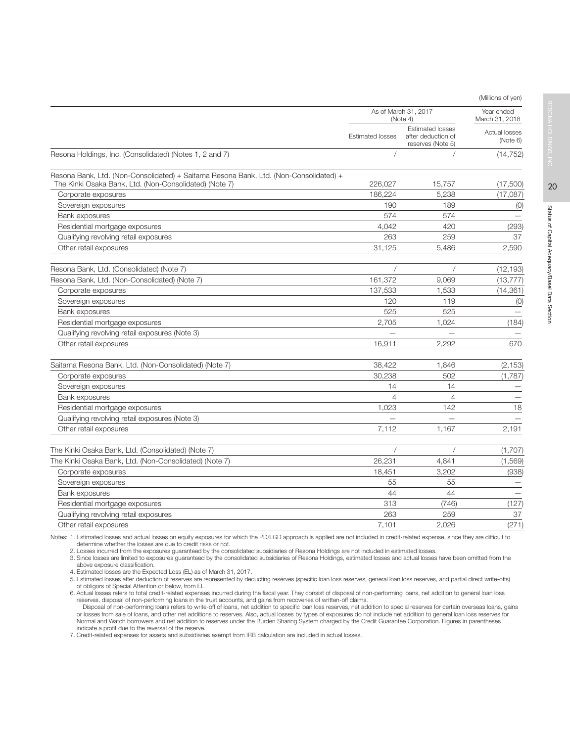|                                                                                                                                                 |                         |                                                                    | (Millions of yen)            |
|-------------------------------------------------------------------------------------------------------------------------------------------------|-------------------------|--------------------------------------------------------------------|------------------------------|
|                                                                                                                                                 |                         | As of March 31, 2017<br>(Note 4)                                   | Year ended<br>March 31, 2018 |
|                                                                                                                                                 | <b>Estimated losses</b> | <b>Estimated losses</b><br>after deduction of<br>reserves (Note 5) | Actual losses<br>(Note 6)    |
| Resona Holdings, Inc. (Consolidated) (Notes 1, 2 and 7)                                                                                         |                         |                                                                    | (14, 752)                    |
| Resona Bank, Ltd. (Non-Consolidated) + Saitama Resona Bank, Ltd. (Non-Consolidated) +<br>The Kinki Osaka Bank, Ltd. (Non-Consolidated) (Note 7) | 226.027                 | 15.757                                                             | (17,500)                     |
| Corporate exposures                                                                                                                             | 186,224                 | 5,238                                                              | (17,087)                     |
| Sovereign exposures                                                                                                                             | 190                     | 189                                                                | (0)                          |
| Bank exposures                                                                                                                                  | 574                     | 574                                                                |                              |
| Residential mortgage exposures                                                                                                                  | 4,042                   | 420                                                                | (293)                        |
| Qualifying revolving retail exposures                                                                                                           | 263                     | 259                                                                | 37                           |
| Other retail exposures                                                                                                                          | 31,125                  | 5,486                                                              | 2,590                        |
| Resona Bank, Ltd. (Consolidated) (Note 7)                                                                                                       |                         |                                                                    | (12, 193)                    |
| Resona Bank, Ltd. (Non-Consolidated) (Note 7)                                                                                                   | 161,372                 | 9,069                                                              | (13, 777)                    |
| Corporate exposures                                                                                                                             | 137,533                 | 1,533                                                              | (14, 361)                    |
| Sovereign exposures                                                                                                                             | 120                     | 119                                                                | (0)                          |
| Bank exposures                                                                                                                                  | 525                     | 525                                                                | $\overline{\phantom{m}}$     |
| Residential mortgage exposures                                                                                                                  | 2,705                   | 1,024                                                              | (184)                        |
| Qualifying revolving retail exposures (Note 3)                                                                                                  |                         |                                                                    |                              |
| Other retail exposures                                                                                                                          | 16.911                  | 2.292                                                              | 670                          |
| Saitama Resona Bank, Ltd. (Non-Consolidated) (Note 7)                                                                                           | 38,422                  | 1,846                                                              | (2, 153)                     |
| Corporate exposures                                                                                                                             | 30,238                  | 502                                                                | (1,787)                      |
| Sovereign exposures                                                                                                                             | 14                      | 14                                                                 |                              |
| <b>Bank exposures</b>                                                                                                                           | 4                       | $\overline{4}$                                                     |                              |
| Residential mortgage exposures                                                                                                                  | 1,023                   | 142                                                                | 18                           |
| Qualifying revolving retail exposures (Note 3)                                                                                                  |                         |                                                                    |                              |
| Other retail exposures                                                                                                                          | 7,112                   | 1,167                                                              | 2,191                        |
| The Kinki Osaka Bank, Ltd. (Consolidated) (Note 7)                                                                                              |                         |                                                                    | (1,707)                      |
| The Kinki Osaka Bank, Ltd. (Non-Consolidated) (Note 7)                                                                                          | 26,231                  | 4,841                                                              | (1,569)                      |
| Corporate exposures                                                                                                                             | 18,451                  | 3,202                                                              | (938)                        |
| Sovereign exposures                                                                                                                             | 55                      | 55                                                                 |                              |
| Bank exposures                                                                                                                                  | 44                      | 44                                                                 |                              |
| Residential mortgage exposures                                                                                                                  | 313                     | (746)                                                              | (127)                        |
| Qualifying revolving retail exposures                                                                                                           | 263                     | 259                                                                | 37                           |
| Other retail exposures                                                                                                                          | 7,101                   | 2.026                                                              | (271)                        |

Notes: 1. Estimated losses and actual losses on equity exposures for which the PD/LGD approach is applied are not included in credit-related expense, since they are difficult to determine whether the losses are due to credit risks or not.

2. Losses incurred from the exposures guaranteed by the consolidated subsidiaries of Resona Holdings are not included in estimated losses.

3. Since losses are limited to exposures guaranteed by the consolidated subsidiaries of Resona Holdings, estimated losses and actual losses have been omitted from the above exposure classification.

4. Estimated losses are the Expected Loss (EL) as of March 31, 2017.<br>5. Estimated losses after deduction of reserves are represented by deducting reserves (specific loan loss reserves, general loan loss reserves, and parti of obligors of Special Attention or below, from EL.

6. Actual losses refers to total credit-related expenses incurred during the fiscal year. They consist of disposal of non-performing loans, net addition to general loan loss reserves, disposal of non-performing loans in the trust accounts, and gains from recoveries of written-off claims.

Disposal of non-performing loans refers to write-off of loans, net addition to specific loan loss reserves, net addition to special reserves for certain overseas loans, gains<br>or losses from sale of loans, and other net add indicate a profit due to the reversal of the reserve.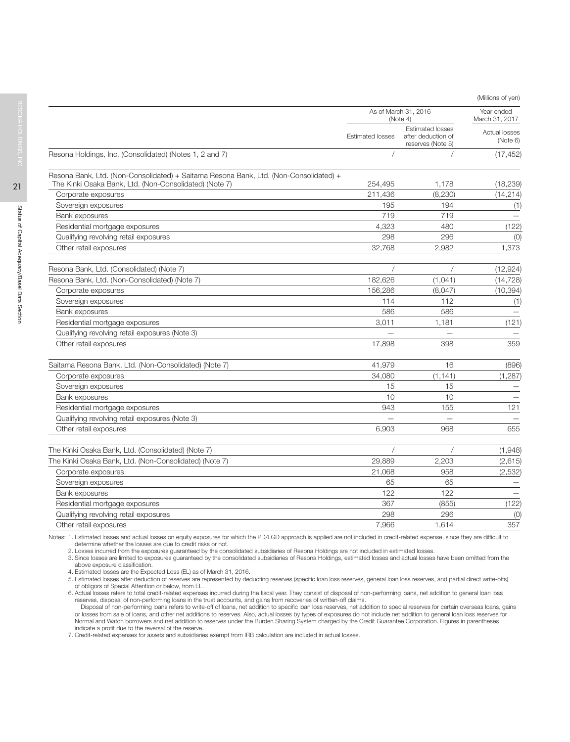(Millions of yen)

|                                                                                       |                         |                                                                    | $\frac{1}{2}$                |
|---------------------------------------------------------------------------------------|-------------------------|--------------------------------------------------------------------|------------------------------|
|                                                                                       |                         | As of March 31, 2016<br>(Note 4)                                   | Year ended<br>March 31, 2017 |
|                                                                                       | <b>Estimated losses</b> | <b>Estimated losses</b><br>after deduction of<br>reserves (Note 5) | Actual losses<br>(Note 6)    |
| Resona Holdings, Inc. (Consolidated) (Notes 1, 2 and 7)                               |                         |                                                                    | (17, 452)                    |
| Resona Bank, Ltd. (Non-Consolidated) + Saitama Resona Bank, Ltd. (Non-Consolidated) + |                         |                                                                    |                              |
| The Kinki Osaka Bank, Ltd. (Non-Consolidated) (Note 7)                                | 254,495                 | 1,178                                                              | (18, 239)                    |
| Corporate exposures                                                                   | 211,436                 | (8, 230)                                                           | (14, 214)                    |
| Sovereign exposures                                                                   | 195                     | 194                                                                | (1)                          |
| Bank exposures                                                                        | 719                     | 719                                                                |                              |
| Residential mortgage exposures                                                        | 4,323                   | 480                                                                | (122)                        |
| Qualifying revolving retail exposures                                                 | 298                     | 296                                                                | (0)                          |
| Other retail exposures                                                                | 32,768                  | 2,982                                                              | 1,373                        |
| Resona Bank, Ltd. (Consolidated) (Note 7)                                             |                         |                                                                    | (12, 924)                    |
| Resona Bank, Ltd. (Non-Consolidated) (Note 7)                                         | 182,626                 | (1,041)                                                            | (14, 728)                    |
| Corporate exposures                                                                   | 156,286                 | (8,047)                                                            | (10, 394)                    |
| Sovereign exposures                                                                   | 114                     | 112                                                                | (1)                          |
| Bank exposures                                                                        | 586                     | 586                                                                | $\overline{\phantom{0}}$     |
| Residential mortgage exposures                                                        | 3,011                   | 1,181                                                              | (121)                        |
| Qualifying revolving retail exposures (Note 3)                                        |                         |                                                                    |                              |
| Other retail exposures                                                                | 17,898                  | 398                                                                | 359                          |
| Saitama Resona Bank, Ltd. (Non-Consolidated) (Note 7)                                 | 41,979                  | 16                                                                 | (896)                        |
| Corporate exposures                                                                   | 34,080                  | (1, 141)                                                           | (1, 287)                     |
| Sovereign exposures                                                                   | 15                      | 15                                                                 |                              |
| Bank exposures                                                                        | 10                      | 10                                                                 |                              |
| Residential mortgage exposures                                                        | 943                     | 155                                                                | 121                          |
| Qualifying revolving retail exposures (Note 3)                                        |                         |                                                                    |                              |
| Other retail exposures                                                                | 6,903                   | 968                                                                | 655                          |
| The Kinki Osaka Bank, Ltd. (Consolidated) (Note 7)                                    |                         |                                                                    | (1,948)                      |
| The Kinki Osaka Bank, Ltd. (Non-Consolidated) (Note 7)                                | 29,889                  | 2,203                                                              | (2,615)                      |
| Corporate exposures                                                                   | 21,068                  | 958                                                                | (2,532)                      |
| Sovereign exposures                                                                   | 65                      | 65                                                                 |                              |
| Bank exposures                                                                        | 122                     | 122                                                                |                              |
| Residential mortgage exposures                                                        | 367                     | (855)                                                              | (122)                        |
| Qualifying revolving retail exposures                                                 | 298                     | 296                                                                | (0)                          |
| Other retail exposures                                                                | 7,966                   | 1,614                                                              | 357                          |
|                                                                                       |                         |                                                                    |                              |

Notes: 1. Estimated losses and actual losses on equity exposures for which the PD/LGD approach is applied are not included in credit-related expense, since they are difficult to determine whether the losses are due to credit risks or not.

2. Losses incurred from the exposures guaranteed by the consolidated subsidiaries of Resona Holdings are not included in estimated losses.

3. Since losses are limited to exposures guaranteed by the consolidated subsidiaries of Resona Holdings, estimated losses and actual losses have been omitted from the above exposure classification.

4. Estimated losses are the Expected Loss (EL) as of March 31, 2016.

5. Estimated losses after deduction of reserves are represented by deducting reserves (specific loan loss reserves, general loan loss reserves, and partial direct write-offs) of obligors of Special Attention or below, from EL.

6. Actual losses refers to total credit-related expenses incurred during the fiscal year. They consist of disposal of non-performing loans, net addition to general loan loss

reserves, disposal of non-performing loans in the trust accounts, and gains from recoveries of written-off claims.<br>Disposal of non-performing loans refers to write-off of loans, net addition to specific loan loss reserves, indicate a profit due to the reversal of the reserve.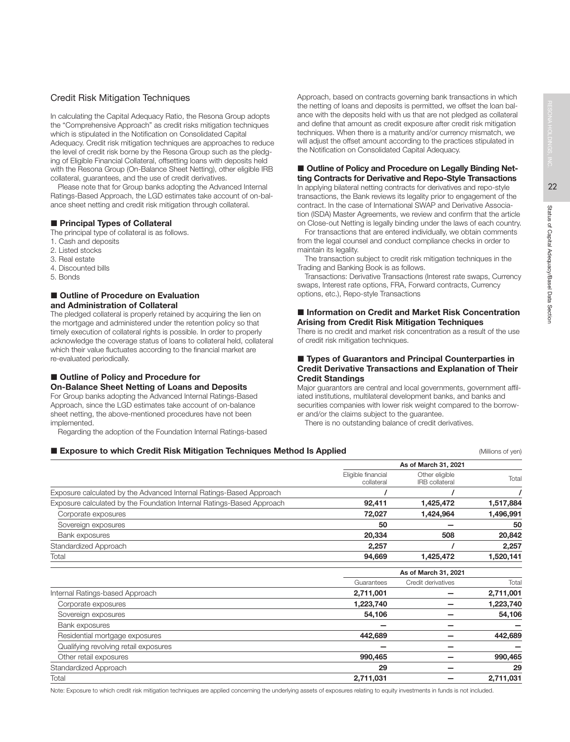# Credit Risk Mitigation Techniques

In calculating the Capital Adequacy Ratio, the Resona Group adopts the "Comprehensive Approach" as credit risks mitigation techniques which is stipulated in the Notification on Consolidated Capital Adequacy. Credit risk mitigation techniques are approaches to reduce the level of credit risk borne by the Resona Group such as the pledging of Eligible Financial Collateral, offsetting loans with deposits held with the Resona Group (On-Balance Sheet Netting), other eligible IRB collateral, guarantees, and the use of credit derivatives.

Please note that for Group banks adopting the Advanced Internal Ratings-Based Approach, the LGD estimates take account of on-balance sheet netting and credit risk mitigation through collateral.

### **Principal Types of Collateral**

- The principal type of collateral is as follows.
- 1. Cash and deposits
- 2. Listed stocks
- 3. Real estate
- 4. Discounted bills
- 5. Bonds

# ■ Outline of Procedure on Evaluation and Administration of Collateral

The pledged collateral is properly retained by acquiring the lien on the mortgage and administered under the retention policy so that timely execution of collateral rights is possible. In order to properly acknowledge the coverage status of loans to collateral held, collateral which their value fluctuates according to the financial market are re-evaluated periodically.

# ■ Outline of Policy and Procedure for

### On-Balance Sheet Netting of Loans and Deposits For Group banks adopting the Advanced Internal Ratings-Based Approach, since the LGD estimates take account of on-balance sheet netting, the above-mentioned procedures have not been

implemented. Regarding the adoption of the Foundation Internal Ratings-based Approach, based on contracts governing bank transactions in which the netting of loans and deposits is permitted, we offset the loan balance with the deposits held with us that are not pledged as collateral and define that amount as credit exposure after credit risk mitigation techniques. When there is a maturity and/or currency mismatch, we will adjust the offset amount according to the practices stipulated in the Notification on Consolidated Capital Adequacy.

# ■ Outline of Policy and Procedure on Legally Binding Netting Contracts for Derivative and Repo-Style Transactions

In applying bilateral netting contracts for derivatives and repo-style transactions, the Bank reviews its legality prior to engagement of the contract. In the case of International SWAP and Derivative Association (ISDA) Master Agreements, we review and confirm that the article on Close-out Netting is legally binding under the laws of each country.

For transactions that are entered individually, we obtain comments from the legal counsel and conduct compliance checks in order to maintain its legality.

The transaction subject to credit risk mitigation techniques in the Trading and Banking Book is as follows.

Transactions: Derivative Transactions (Interest rate swaps, Currency swaps, Interest rate options, FRA, Forward contracts, Currency options, etc.), Repo-style Transactions

### ■ Information on Credit and Market Risk Concentration Arising from Credit Risk Mitigation Techniques

There is no credit and market risk concentration as a result of the use of credit risk mitigation techniques.

### ■ Types of Guarantors and Principal Counterparties in Credit Derivative Transactions and Explanation of Their Credit Standings

Major guarantors are central and local governments, government affiliated institutions, multilateral development banks, and banks and securities companies with lower risk weight compared to the borrower and/or the claims subject to the guarantee.

There is no outstanding balance of credit derivatives.

### **Exposure to which Credit Risk Mitigation Techniques Method Is Applied Exposure to which of yen)** (Millions of yen)

|                                                                       | As of March 31, 2021             |                                         |           |
|-----------------------------------------------------------------------|----------------------------------|-----------------------------------------|-----------|
|                                                                       | Eligible financial<br>collateral | Other eligible<br><b>IRB</b> collateral | Total     |
| Exposure calculated by the Advanced Internal Ratings-Based Approach   |                                  |                                         |           |
| Exposure calculated by the Foundation Internal Ratings-Based Approach | 92,411                           | 1,425,472                               | 1,517,884 |
| Corporate exposures                                                   | 72,027                           | 1,424,964                               | 1,496,991 |
| Sovereign exposures                                                   | 50                               |                                         | 50        |
| Bank exposures                                                        | 20,334                           | 508                                     | 20,842    |
| Standardized Approach                                                 | 2,257                            |                                         | 2,257     |
| Total                                                                 | 94,669                           | 1,425,472                               | 1,520,141 |

|                                       |            | As of March 31, 2021 |           |  |  |
|---------------------------------------|------------|----------------------|-----------|--|--|
|                                       | Guarantees | Credit derivatives   | Total     |  |  |
| Internal Ratings-based Approach       | 2,711,001  |                      | 2,711,001 |  |  |
| Corporate exposures                   | 1,223,740  |                      | 1,223,740 |  |  |
| Sovereign exposures                   | 54,106     |                      | 54,106    |  |  |
| Bank exposures                        |            |                      |           |  |  |
| Residential mortgage exposures        | 442,689    |                      | 442,689   |  |  |
| Qualifying revolving retail exposures |            |                      |           |  |  |
| Other retail exposures                | 990,465    |                      | 990,465   |  |  |
| Standardized Approach                 | 29         |                      | 29        |  |  |
| Total                                 | 2,711,031  |                      | 2,711,031 |  |  |
|                                       |            |                      |           |  |  |

Note: Exposure to which credit risk mitigation techniques are applied concerning the underlying assets of exposures relating to equity investments in funds is not included.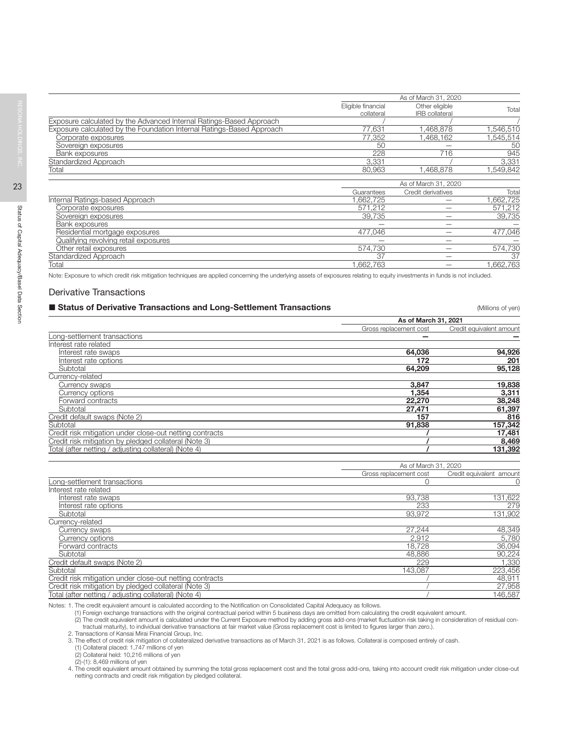|                                                                       |                                  | As of March 31, 2020                    |          |
|-----------------------------------------------------------------------|----------------------------------|-----------------------------------------|----------|
|                                                                       | Eligible financial<br>collateral | Other eligible<br><b>IRB</b> collateral | Tota     |
| Exposure calculated by the Advanced Internal Ratings-Based Approach   |                                  |                                         |          |
| Exposure calculated by the Foundation Internal Ratings-Based Approach | 77,631                           | 1,468,878                               | ,546,510 |
| Corporate exposures                                                   | 77,352                           | 1,468,162                               | .545,514 |
| Sovereign exposures                                                   | 50                               |                                         | 50       |
| Bank exposures                                                        | 228                              | 716                                     | 945      |
| Standardized Approach                                                 | 3,331                            |                                         | 3,331    |
| Total                                                                 | 80,963                           | ,468,878                                | ,549,842 |
|                                                                       |                                  | As of March 31, 2020                    |          |
|                                                                       | Guarantees                       | Credit derivatives                      | Tota     |
| Internal Ratings-based Approach                                       | 1.662.725                        |                                         | ,662,725 |
| Corporate exposures                                                   | 571,212                          |                                         | 571,212  |
| Sovereign exposures                                                   | 39,735                           |                                         | 39,735   |
| Bank exposures                                                        |                                  |                                         |          |
| Residential mortgage exposures                                        | 477,046                          |                                         | 477,046  |
| Qualifying revolving retail exposures                                 |                                  |                                         |          |
| Other retail exposures                                                | 574,730                          |                                         | 574,730  |
| Standardized Approach                                                 | 37                               |                                         | 37       |
| Total                                                                 | 1,662,763                        |                                         | ,662,763 |

Note: Exposure to which credit risk mitigation techniques are applied concerning the underlying assets of exposures relating to equity investments in funds is not included.

### Derivative Transactions

### **Status of Derivative Transactions and Long-Settlement Transactions Status Constant Constant Constant Constant** (Millions of yen)

|                                                                                                                                                                                                                                                                                                                                                                                                                                         | As of March 31, 2021   |                          |
|-----------------------------------------------------------------------------------------------------------------------------------------------------------------------------------------------------------------------------------------------------------------------------------------------------------------------------------------------------------------------------------------------------------------------------------------|------------------------|--------------------------|
| Long-settlement transactions<br>Interest rate related<br>Interest rate swaps<br>Interest rate options<br>Subtotal<br>Currency-related<br>Currency swaps<br>Currency options<br>Forward contracts<br>Subtotal<br>Credit default swaps (Note 2)<br>Subtotal<br>Credit risk mitigation under close-out netting contracts<br>Credit risk mitigation by pledged collateral (Note 3)<br>Total (after netting / adjusting collateral) (Note 4) | Gross replacement cost | Credit equivalent amount |
|                                                                                                                                                                                                                                                                                                                                                                                                                                         |                        |                          |
|                                                                                                                                                                                                                                                                                                                                                                                                                                         |                        |                          |
|                                                                                                                                                                                                                                                                                                                                                                                                                                         | 64.036                 | 94,926                   |
|                                                                                                                                                                                                                                                                                                                                                                                                                                         | 172                    | 201                      |
|                                                                                                                                                                                                                                                                                                                                                                                                                                         | 64.209                 | 95,128                   |
|                                                                                                                                                                                                                                                                                                                                                                                                                                         |                        |                          |
|                                                                                                                                                                                                                                                                                                                                                                                                                                         | 3.847                  | 19,838                   |
|                                                                                                                                                                                                                                                                                                                                                                                                                                         | 1.354                  | 3,311                    |
|                                                                                                                                                                                                                                                                                                                                                                                                                                         | 22,270                 | 38,248                   |
|                                                                                                                                                                                                                                                                                                                                                                                                                                         | 27.471                 | 61.397                   |
|                                                                                                                                                                                                                                                                                                                                                                                                                                         | 157                    | 816                      |
|                                                                                                                                                                                                                                                                                                                                                                                                                                         | 91,838                 | 157,342                  |
|                                                                                                                                                                                                                                                                                                                                                                                                                                         |                        | 17,481                   |
|                                                                                                                                                                                                                                                                                                                                                                                                                                         |                        | 8,469                    |
|                                                                                                                                                                                                                                                                                                                                                                                                                                         |                        | 131,392                  |
|                                                                                                                                                                                                                                                                                                                                                                                                                                         |                        |                          |

|                                                          | As of March 31, 2020   |                          |
|----------------------------------------------------------|------------------------|--------------------------|
|                                                          | Gross replacement cost | Credit equivalent amount |
| Long-settlement transactions                             |                        |                          |
| Interest rate related                                    |                        |                          |
| Interest rate swaps                                      | 93.738                 | 131,622                  |
| Interest rate options                                    | 233                    | 279                      |
| Subtotal                                                 | 93.972                 | 131.902                  |
| Currency-related                                         |                        |                          |
| Currency swaps                                           | 27,244                 | 48,349                   |
| Currency options                                         | 2.912                  | 5,780                    |
| Forward contracts                                        | 18.728                 | 36,094                   |
| Subtotal                                                 | 48.886                 | 90,224                   |
| Credit default swaps (Note 2)                            | 229                    | 1,330                    |
| Subtotal                                                 | 143,087                | 223,456                  |
| Credit risk mitigation under close-out netting contracts |                        | 48,911                   |
| Credit risk mitigation by pledged collateral (Note 3)    |                        | 27,958                   |
| Total (after netting / adjusting collateral) (Note 4)    |                        | 146,587                  |

Notes: 1. The credit equivalent amount is calculated according to the Notification on Consolidated Capital Adequacy as follows.

(1) Foreign exchange transactions with the original contractual period within 5 business days are omitted from calculating the credit equivalent amount.

(2) The credit equivalent amount is calculated under the Current Exposure method by adding gross add-ons (market fluctuation risk taking in consideration of residual contractual maturity), to individual derivative transactions at fair market value (Gross replacement cost is limited to figures larger than zero.). 2. Transactions of Kansai Mirai Financial Group, Inc.

3. The effect of credit risk mitigation of collateralized derivative transactions as of March 31, 2021 is as follows. Collateral is composed entirely of cash.<br>(1) Collateral placed: 1,747 millions of yen

(2) Collateral held: 10,216 millions of yen

(2)-(1): 8,469 millions of yen

4. The credit equivalent amount obtained by summing the total gross replacement cost and the total gross add-ons, taking into account credit risk mitigation under close-out<br>netting contracts and credit risk mitigation by p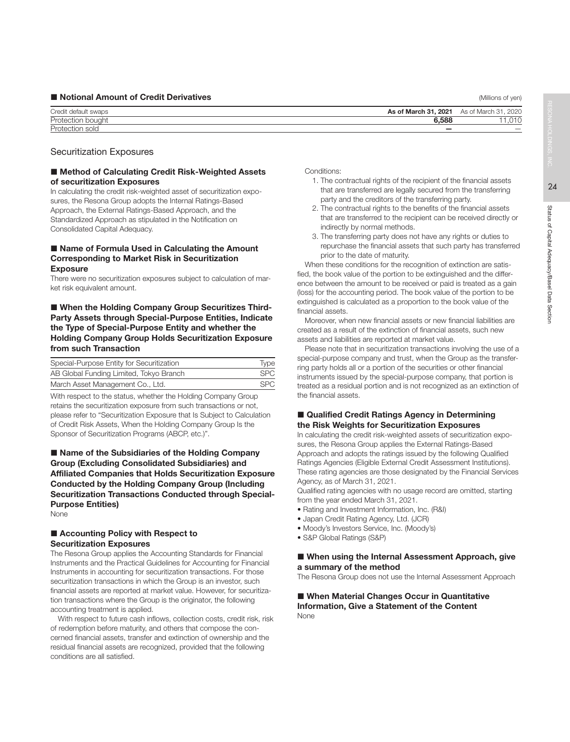### **Notional Amount of Credit Derivatives** (Millions of yen) and the state of the state of the state of the state of the state of the state of the state of the state of the state of the state of the state of the state of the

| Credit default swaps | 2021<br>As of March 31. | of March<br>2020<br>As       |
|----------------------|-------------------------|------------------------------|
| Protection bough.    | 6.588                   | $\sim$ $\sim$<br>◡<br>$\sim$ |
| Protectic<br>5UR J   | __                      | $\overline{\phantom{a}}$     |

### Securitization Exposures

### ■ Method of Calculating Credit Risk-Weighted Assets of securitization Exposures

In calculating the credit risk-weighted asset of securitization exposures, the Resona Group adopts the Internal Ratings-Based Approach, the External Ratings-Based Approach, and the Standardized Approach as stipulated in the Notification on Consolidated Capital Adequacy.

### ■ Name of Formula Used in Calculating the Amount Corresponding to Market Risk in Securitization Exposure

There were no securitization exposures subject to calculation of market risk equivalent amount.

# ■ When the Holding Company Group Securitizes Third-Party Assets through Special-Purpose Entities, Indicate the Type of Special-Purpose Entity and whether the Holding Company Group Holds Securitization Exposure from such Transaction

| Special-Purpose Entity for Securitization | <b>Type</b> |
|-------------------------------------------|-------------|
| AB Global Funding Limited, Tokyo Branch   | <b>SPC</b>  |
| March Asset Management Co., Ltd.          | <b>SPC</b>  |

With respect to the status, whether the Holding Company Group retains the securitization exposure from such transactions or not, please refer to "Securitization Exposure that Is Subject to Calculation of Credit Risk Assets, When the Holding Company Group Is the Sponsor of Securitization Programs (ABCP, etc.)".

■ Name of the Subsidiaries of the Holding Company Group (Excluding Consolidated Subsidiaries) and Affiliated Companies that Holds Securitization Exposure Conducted by the Holding Company Group (Including Securitization Transactions Conducted through Special-Purpose Entities)

None

### ■ Accounting Policy with Respect to Securitization Exposures

The Resona Group applies the Accounting Standards for Financial Instruments and the Practical Guidelines for Accounting for Financial Instruments in accounting for securitization transactions. For those securitization transactions in which the Group is an investor, such financial assets are reported at market value. However, for securitization transactions where the Group is the originator, the following accounting treatment is applied.

With respect to future cash inflows, collection costs, credit risk, risk of redemption before maturity, and others that compose the concerned financial assets, transfer and extinction of ownership and the residual financial assets are recognized, provided that the following conditions are all satisfied.

Conditions:

- 1. The contractual rights of the recipient of the financial assets that are transferred are legally secured from the transferring party and the creditors of the transferring party.
- 2. The contractual rights to the benefits of the financial assets that are transferred to the recipient can be received directly or indirectly by normal methods.
- 3. The transferring party does not have any rights or duties to repurchase the financial assets that such party has transferred prior to the date of maturity.

When these conditions for the recognition of extinction are satisfied, the book value of the portion to be extinguished and the difference between the amount to be received or paid is treated as a gain (loss) for the accounting period. The book value of the portion to be extinguished is calculated as a proportion to the book value of the financial assets.

Moreover, when new financial assets or new financial liabilities are created as a result of the extinction of financial assets, such new assets and liabilities are reported at market value.

Please note that in securitization transactions involving the use of a special-purpose company and trust, when the Group as the transferring party holds all or a portion of the securities or other financial instruments issued by the special-purpose company, that portion is treated as a residual portion and is not recognized as an extinction of the financial assets.

## ■ Qualified Credit Ratings Agency in Determining the Risk Weights for Securitization Exposures

In calculating the credit risk-weighted assets of securitization exposures, the Resona Group applies the External Ratings-Based Approach and adopts the ratings issued by the following Qualified Ratings Agencies (Eligible External Credit Assessment Institutions). These rating agencies are those designated by the Financial Services Agency, as of March 31, 2021.

Qualified rating agencies with no usage record are omitted, starting from the year ended March 31, 2021.

- Rating and Investment Information, Inc. (R&I)
- Japan Credit Rating Agency, Ltd. (JCR)
- Moody's Investors Service, Inc. (Moody's)
- S&P Global Ratings (S&P)

### ■ When using the Internal Assessment Approach, give a summary of the method

The Resona Group does not use the Internal Assessment Approach

■ When Material Changes Occur in Quantitative Information, Give a Statement of the Content None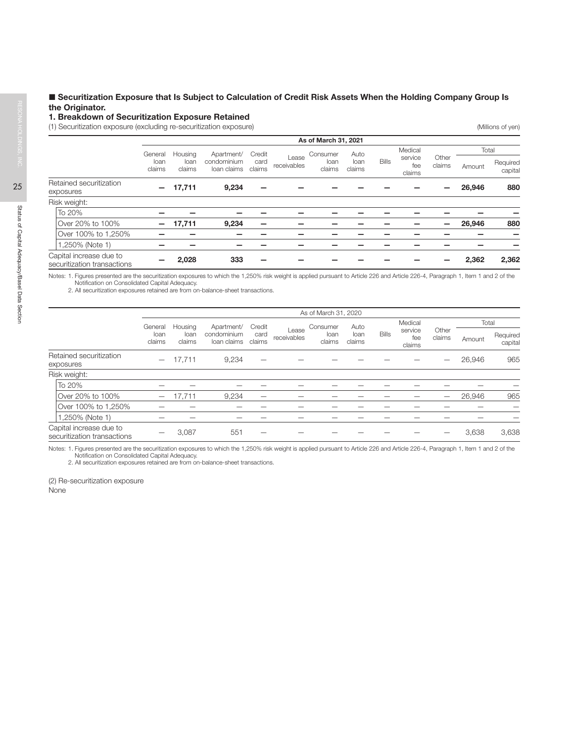# Securitization Exposure that Is Subject to Calculation of Credit Risk Assets When the Holding Company Group Is the Originator.

### 1. Breakdown of Securitization Exposure Retained

(1) Securitization exposure (excluding re-securitization exposure) (Millions of yen)

|                                                        |                |                |                                              |                      |                | As of March 31, 2021 |              |                          |                 |        |                     |       |
|--------------------------------------------------------|----------------|----------------|----------------------------------------------|----------------------|----------------|----------------------|--------------|--------------------------|-----------------|--------|---------------------|-------|
|                                                        | General        | Housing        | Apartment/                                   | Credit               |                | Consumer             | Auto         |                          | Medical         |        |                     | Total |
|                                                        | loan<br>claims | loan<br>claims | condominium<br>card<br>claims<br>loan claims | Lease<br>receivables | loan<br>claims | loan<br>claims       | <b>Bills</b> | service<br>fee<br>claims | Other<br>claims | Amount | Required<br>capital |       |
| Retained securitization<br>exposures                   |                | 17,711         | 9,234                                        |                      |                |                      |              |                          |                 |        | 26,946              | 880   |
| Risk weight:                                           |                |                |                                              |                      |                |                      |              |                          |                 |        |                     |       |
| To 20%                                                 |                |                |                                              |                      |                |                      |              |                          |                 |        |                     |       |
| Over 20% to 100%                                       |                | 17,711         | 9,234                                        |                      |                |                      |              |                          |                 |        | 26,946              | 880   |
| Over 100% to 1,250%                                    |                |                |                                              |                      |                |                      |              |                          |                 |        |                     |       |
| 1,250% (Note 1)                                        |                |                |                                              |                      |                |                      |              |                          |                 |        |                     |       |
| Capital increase due to<br>securitization transactions |                | 2,028          | 333                                          |                      |                |                      |              |                          |                 |        | 2,362               | 2,362 |

Notes: 1. Figures presented are the securitization exposures to which the 1,250% risk weight is applied pursuant to Article 226 and Article 226-4, Paragraph 1, Item 1 and 2 of the

Notification on Consolidated Capital Adequacy. 2. All securitization exposures retained are from on-balance-sheet transactions.

|                                                        |                          |                |                            |                |                      | As of March 31, 2020 |                |              |                          |                 |        |                     |
|--------------------------------------------------------|--------------------------|----------------|----------------------------|----------------|----------------------|----------------------|----------------|--------------|--------------------------|-----------------|--------|---------------------|
|                                                        | General                  | Housing        | Apartment/                 | Credit         |                      | Consumer             | Auto           |              | Medical                  |                 | Total  |                     |
|                                                        | loan<br>claims           | loan<br>claims | condominium<br>loan claims | card<br>claims | Lease<br>receivables | loan<br>claims       | loan<br>claims | <b>Bills</b> | service<br>fee<br>claims | Other<br>claims | Amount | Required<br>capital |
| Retained securitization<br>exposures                   | $\overline{\phantom{0}}$ | 17.711         | 9.234                      |                |                      |                      |                |              |                          |                 | 26,946 | 965                 |
| Risk weight:                                           |                          |                |                            |                |                      |                      |                |              |                          |                 |        |                     |
| To 20%                                                 |                          |                |                            |                |                      |                      |                |              |                          |                 |        |                     |
| Over 20% to 100%                                       | $\overline{\phantom{0}}$ | 17.711         | 9,234                      |                |                      |                      |                |              |                          |                 | 26.946 | 965                 |
| Over 100% to 1,250%                                    |                          |                |                            |                |                      |                      |                |              |                          |                 |        |                     |
| 1,250% (Note 1)                                        |                          |                |                            |                |                      |                      |                |              |                          |                 |        |                     |
| Capital increase due to<br>securitization transactions |                          | 3,087          | 551                        |                |                      |                      |                |              |                          |                 | 3,638  | 3,638               |

Notes: 1. Figures presented are the securitization exposures to which the 1,250% risk weight is applied pursuant to Article 226 and Article 226-4, Paragraph 1, Item 1 and 2 of the Notification on Consolidated Capital Adequacy.

2. All securitization exposures retained are from on-balance-sheet transactions.

(2) Re-securitization exposure **None**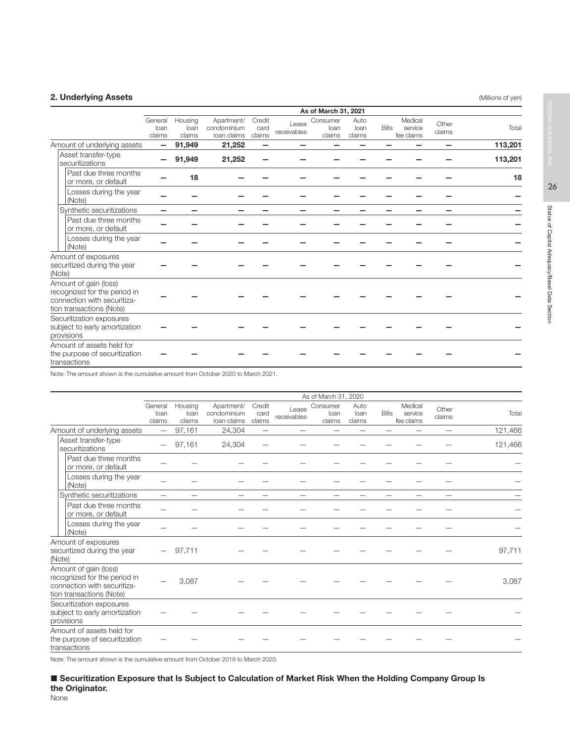# 2. Underlying Assets (Millions of yen) and the United States (Millions of yen) and the United States (Millions of yen)

|                                                                                                                  |                           |                           |                                          |                          |                      | As of March 31, 2021       |                        |              |                                  |                 |         |
|------------------------------------------------------------------------------------------------------------------|---------------------------|---------------------------|------------------------------------------|--------------------------|----------------------|----------------------------|------------------------|--------------|----------------------------------|-----------------|---------|
|                                                                                                                  | General<br>loan<br>claims | Housing<br>loan<br>claims | Apartment/<br>condominium<br>loan claims | Credit<br>card<br>claims | Lease<br>receivables | Consumer<br>loan<br>claims | Auto<br>loan<br>claims | <b>Bills</b> | Medical<br>service<br>fee claims | Other<br>claims | Total   |
| Amount of underlying assets                                                                                      |                           | 91,949                    | 21,252                                   |                          |                      |                            |                        |              |                                  |                 | 113,201 |
| Asset transfer-type<br>securitizations                                                                           |                           | 91,949                    | 21,252                                   |                          |                      |                            |                        |              |                                  |                 | 113,201 |
| Past due three months<br>or more, or default                                                                     |                           | 18                        |                                          |                          |                      |                            |                        |              |                                  |                 | 18      |
| Losses during the year<br>(Note)                                                                                 |                           |                           |                                          |                          |                      |                            |                        |              |                                  |                 |         |
| Synthetic securitizations                                                                                        |                           |                           |                                          |                          |                      |                            |                        |              |                                  |                 |         |
| Past due three months<br>or more, or default                                                                     |                           |                           |                                          |                          |                      |                            |                        |              |                                  |                 |         |
| Losses during the year<br>(Note)                                                                                 |                           |                           |                                          |                          |                      |                            |                        |              |                                  |                 |         |
| Amount of exposures<br>securitized during the year<br>(Note)                                                     |                           |                           |                                          |                          |                      |                            |                        |              |                                  |                 |         |
| Amount of gain (loss)<br>recognized for the period in<br>connection with securitiza-<br>tion transactions (Note) |                           |                           |                                          |                          |                      |                            |                        |              |                                  |                 |         |
| Securitization exposures<br>subject to early amortization<br>provisions                                          |                           |                           |                                          |                          |                      |                            |                        |              |                                  |                 |         |
| Amount of assets held for<br>the purpose of securitization<br>transactions                                       |                           |                           |                                          |                          |                      |                            |                        |              |                                  |                 |         |

Note: The amount shown is the cumulative amount from October 2020 to March 2021.

|              |                                                                                                                  |                           |                           |                                          |                          |                      | As of March 31, 2020       |                        |              |                                  |                 |         |
|--------------|------------------------------------------------------------------------------------------------------------------|---------------------------|---------------------------|------------------------------------------|--------------------------|----------------------|----------------------------|------------------------|--------------|----------------------------------|-----------------|---------|
|              |                                                                                                                  | General<br>loan<br>claims | Housing<br>loan<br>claims | Apartment/<br>condominium<br>loan claims | Credit<br>card<br>claims | Lease<br>receivables | Consumer<br>loan<br>claims | Auto<br>loan<br>claims | <b>Bills</b> | Medical<br>service<br>fee claims | Other<br>claims | Total   |
|              | Amount of underlying assets                                                                                      | —                         | 97,161                    | 24,304                                   | -                        |                      |                            |                        |              |                                  |                 | 121,466 |
|              | Asset transfer-type<br>securitizations                                                                           |                           | 97,161                    | 24,304                                   |                          |                      |                            |                        |              |                                  |                 | 121,466 |
|              | Past due three months<br>or more, or default                                                                     |                           |                           |                                          |                          |                      |                            |                        |              |                                  |                 |         |
| (Note)       | Losses during the year                                                                                           |                           |                           |                                          |                          |                      |                            |                        |              |                                  |                 |         |
|              | Synthetic securitizations                                                                                        | —                         | -                         | $\overline{\phantom{0}}$                 | -                        | -                    |                            | -                      |              |                                  |                 |         |
|              | Past due three months<br>or more, or default                                                                     |                           |                           |                                          |                          |                      |                            |                        |              |                                  |                 |         |
| (Note)       | Losses during the year                                                                                           |                           |                           |                                          |                          |                      |                            |                        |              |                                  |                 |         |
| (Note)       | Amount of exposures<br>securitized during the year                                                               |                           | 97.711                    |                                          |                          |                      |                            |                        |              |                                  |                 | 97,711  |
|              | Amount of gain (loss)<br>recognized for the period in<br>connection with securitiza-<br>tion transactions (Note) |                           | 3,087                     |                                          |                          |                      |                            |                        |              |                                  |                 | 3.087   |
| provisions   | Securitization exposures<br>subject to early amortization                                                        |                           |                           |                                          |                          |                      |                            |                        |              |                                  |                 |         |
| transactions | Amount of assets held for<br>the purpose of securitization                                                       |                           |                           |                                          |                          |                      |                            |                        |              |                                  |                 |         |

Note: The amount shown is the cumulative amount from October 2019 to March 2020.

 Securitization Exposure that Is Subject to Calculation of Market Risk When the Holding Company Group Is the Originator.

None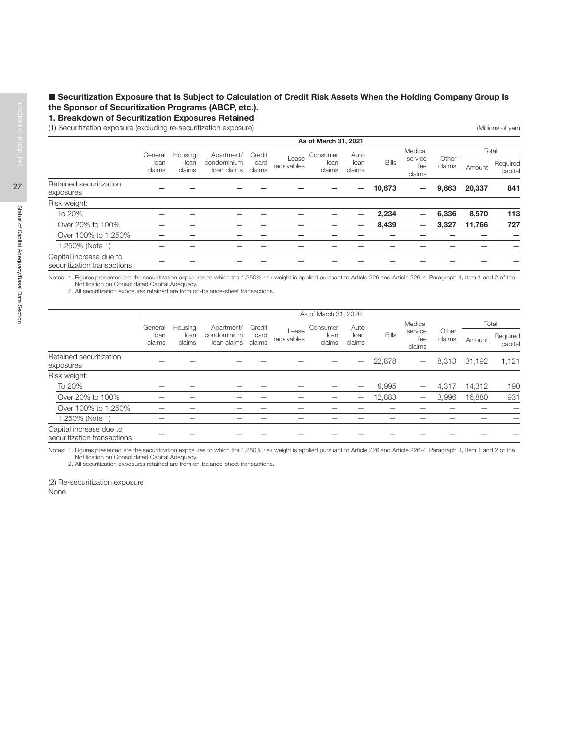# Securitization Exposure that Is Subject to Calculation of Credit Risk Assets When the Holding Company Group Is the Sponsor of Securitization Programs (ABCP, etc.).

### 1. Breakdown of Securitization Exposures Retained

(1) Securitization exposure (excluding re-securitization exposure) (Millions of yen)

|                                                        |                |                |                            |                |                      | As of March 31, 2021 |                |              |                          |                 |        |                     |
|--------------------------------------------------------|----------------|----------------|----------------------------|----------------|----------------------|----------------------|----------------|--------------|--------------------------|-----------------|--------|---------------------|
|                                                        | General        | Housing        | Apartment/                 | Credit         |                      | Consumer             | Auto           |              | Medical                  |                 | Total  |                     |
|                                                        | loan<br>claims | loan<br>claims | condominium<br>loan claims | card<br>claims | Lease<br>receivables | loan<br>claims       | loan<br>claims | <b>Bills</b> | service<br>fee<br>claims | Other<br>claims | Amount | Required<br>capital |
| Retained securitization<br>exposures                   |                |                |                            |                |                      |                      |                | 10,673       | -                        | 9,663           | 20,337 | 841                 |
| Risk weight:                                           |                |                |                            |                |                      |                      |                |              |                          |                 |        |                     |
| To 20%                                                 |                |                |                            |                |                      |                      |                | 2,234        | —                        | 6,336           | 8,570  | 113                 |
| Over 20% to 100%                                       |                |                |                            |                |                      |                      |                | 8,439        | —                        | 3,327           | 11,766 | 727                 |
| Over 100% to 1,250%                                    |                |                |                            |                |                      |                      |                |              |                          |                 |        |                     |
| 1.250% (Note 1)                                        |                |                |                            |                |                      |                      |                |              |                          |                 |        |                     |
| Capital increase due to<br>securitization transactions |                |                |                            |                |                      |                      |                |              |                          |                 |        |                     |

Notes: 1. Figures presented are the securitization exposures to which the 1,250% risk weight is applied pursuant to Article 226 and Article 226-4, Paragraph 1, Item 1 and 2 of the Notification on Consolidated Capital Adequacy. 2. All securitization exposures retained are from on-balance-sheet transactions.

|                                                        |                |                |                            |                |                      | As of March 31, 2020 |                |              |                          |                 |        |                     |
|--------------------------------------------------------|----------------|----------------|----------------------------|----------------|----------------------|----------------------|----------------|--------------|--------------------------|-----------------|--------|---------------------|
|                                                        | General        | Housing        | Apartment/                 | Credit         |                      | Consumer             | Auto           |              | Medical                  |                 |        | Total               |
|                                                        | loan<br>claims | loan<br>claims | condominium<br>loan claims | card<br>claims | Lease<br>receivables | loan<br>claims       | loan<br>claims | <b>Bills</b> | service<br>fee<br>claims | Other<br>claims | Amount | Required<br>capital |
| Retained securitization<br>exposures                   |                |                |                            |                |                      |                      |                | 22,878       | $\qquad \qquad -$        | 8,313           | 31,192 | 1,121               |
| Risk weight:                                           |                |                |                            |                |                      |                      |                |              |                          |                 |        |                     |
| To 20%                                                 |                |                |                            |                |                      |                      |                | 9.995        |                          | 4.317           | 14.312 | 190                 |
| Over 20% to 100%                                       |                |                |                            |                |                      |                      | -              | 12,883       |                          | 3.996           | 16,880 | 931                 |
| Over 100% to 1,250%                                    |                |                |                            |                |                      |                      |                |              |                          |                 |        |                     |
| 1,250% (Note 1)                                        |                |                |                            |                |                      |                      |                |              |                          |                 |        |                     |
| Capital increase due to<br>securitization transactions |                |                |                            |                |                      |                      |                |              |                          |                 |        |                     |

Notes: 1. Figures presented are the securitization exposures to which the 1,250% risk weight is applied pursuant to Article 226 and Article 226-4, Paragraph 1, Item 1 and 2 of the Notification on Consolidated Capital Adequacy.

2. All securitization exposures retained are from on-balance-sheet transactions.

(2) Re-securitization exposure None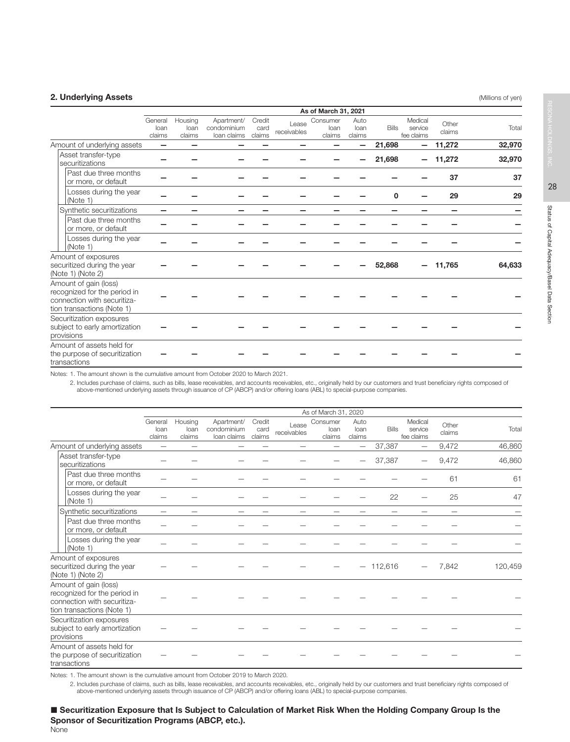# **2. Underlying Assets** (Millions of yen) **2. Underlying Assets** (Millions of yen)

|                                                                                                                    |                           |                           |                                          |                          |                      | As of March 31, 2021       |                        |              |                                  |                 |        |
|--------------------------------------------------------------------------------------------------------------------|---------------------------|---------------------------|------------------------------------------|--------------------------|----------------------|----------------------------|------------------------|--------------|----------------------------------|-----------------|--------|
|                                                                                                                    | General<br>loan<br>claims | Housing<br>loan<br>claims | Apartment/<br>condominium<br>loan claims | Credit<br>card<br>claims | Lease<br>receivables | Consumer<br>loan<br>claims | Auto<br>loan<br>claims | <b>Bills</b> | Medical<br>service<br>fee claims | Other<br>claims | Total  |
| Amount of underlying assets                                                                                        |                           |                           |                                          |                          |                      |                            |                        | 21,698       | $\overline{\phantom{0}}$         | 11,272          | 32,970 |
| Asset transfer-type<br>securitizations                                                                             |                           |                           |                                          |                          |                      |                            |                        | 21,698       | -                                | 11,272          | 32,970 |
| Past due three months<br>or more, or default                                                                       |                           |                           |                                          |                          |                      |                            |                        |              |                                  | 37              | 37     |
| Losses during the year<br>(Note 1)                                                                                 |                           |                           |                                          |                          |                      |                            |                        | $\Omega$     |                                  | 29              | 29     |
| Synthetic securitizations                                                                                          |                           |                           |                                          |                          |                      |                            |                        |              |                                  |                 |        |
| Past due three months<br>or more, or default                                                                       |                           |                           |                                          |                          |                      |                            |                        |              |                                  |                 |        |
| Losses during the year<br>(Note 1)                                                                                 |                           |                           |                                          |                          |                      |                            |                        |              |                                  |                 |        |
| Amount of exposures<br>securitized during the year<br>(Note 1) (Note 2)                                            |                           |                           |                                          |                          |                      |                            |                        | 52,868       |                                  | 11,765          | 64.633 |
| Amount of gain (loss)<br>recognized for the period in<br>connection with securitiza-<br>tion transactions (Note 1) |                           |                           |                                          |                          |                      |                            |                        |              |                                  |                 |        |
| Securitization exposures<br>subject to early amortization<br>provisions                                            |                           |                           |                                          |                          |                      |                            |                        |              |                                  |                 |        |
| Amount of assets held for<br>the purpose of securitization<br>transactions                                         |                           |                           |                                          |                          |                      |                            |                        |              |                                  |                 |        |

Notes: 1. The amount shown is the cumulative amount from October 2020 to March 2021.

2. Includes purchase of claims, such as bills, lease receivables, and accounts receivables, etc., originally held by our customers and trust beneficiary rights composed of<br>above-mentioned underlying assets through issuance

|                                                                                                                    |                           |                           |                                          |                          |                          | As of March 31, 2020       |                          |              |                                  |                          |         |
|--------------------------------------------------------------------------------------------------------------------|---------------------------|---------------------------|------------------------------------------|--------------------------|--------------------------|----------------------------|--------------------------|--------------|----------------------------------|--------------------------|---------|
|                                                                                                                    | General<br>loan<br>claims | Housing<br>loan<br>claims | Apartment/<br>condominium<br>loan claims | Credit<br>card<br>claims | Lease<br>receivables     | Consumer<br>loan<br>claims | Auto<br>loan<br>claims   | <b>Bills</b> | Medical<br>service<br>fee claims | Other<br>claims          | Total   |
| Amount of underlying assets                                                                                        | $\overline{\phantom{0}}$  | -                         | -                                        |                          | -                        | -                          | -                        | 37,387       | $\overline{\phantom{0}}$         | 9,472                    | 46,860  |
| Asset transfer-type<br>securitizations                                                                             |                           |                           |                                          |                          |                          |                            |                          | 37,387       |                                  | 9,472                    | 46,860  |
| Past due three months<br>or more, or default                                                                       |                           |                           |                                          |                          |                          |                            |                          |              |                                  | 61                       | 61      |
| Losses during the year<br>(Note 1)                                                                                 |                           |                           |                                          |                          |                          |                            |                          | 22           |                                  | 25                       | 47      |
| Synthetic securitizations                                                                                          | $\overline{\phantom{0}}$  | -                         | $\overline{\phantom{0}}$                 | -                        | $\overline{\phantom{0}}$ | —                          | $\overline{\phantom{0}}$ |              | $\overline{\phantom{0}}$         | $\overline{\phantom{0}}$ |         |
| Past due three months<br>or more, or default                                                                       |                           |                           |                                          |                          |                          |                            |                          |              |                                  |                          |         |
| Losses during the year<br>(Note 1)                                                                                 |                           |                           |                                          |                          |                          |                            |                          |              |                                  |                          |         |
| Amount of exposures<br>securitized during the year<br>(Note 1) (Note 2)                                            |                           |                           |                                          |                          |                          |                            | $\overline{\phantom{m}}$ | 112,616      |                                  | 7,842                    | 120,459 |
| Amount of gain (loss)<br>recognized for the period in<br>connection with securitiza-<br>tion transactions (Note 1) |                           |                           |                                          |                          |                          |                            |                          |              |                                  |                          |         |
| Securitization exposures<br>subject to early amortization<br>provisions                                            |                           |                           |                                          |                          |                          |                            |                          |              |                                  |                          |         |
| Amount of assets held for<br>the purpose of securitization<br>transactions                                         |                           |                           |                                          |                          |                          |                            |                          |              |                                  |                          |         |

Notes: 1. The amount shown is the cumulative amount from October 2019 to March 2020.

2. Includes purchase of claims, such as bills, lease receivables, and accounts receivables, etc., originally held by our customers and trust beneficiary rights composed of<br>above-mentioned underlying assets through issuance

### Securitization Exposure that Is Subject to Calculation of Market Risk When the Holding Company Group Is the Sponsor of Securitization Programs (ABCP, etc.). None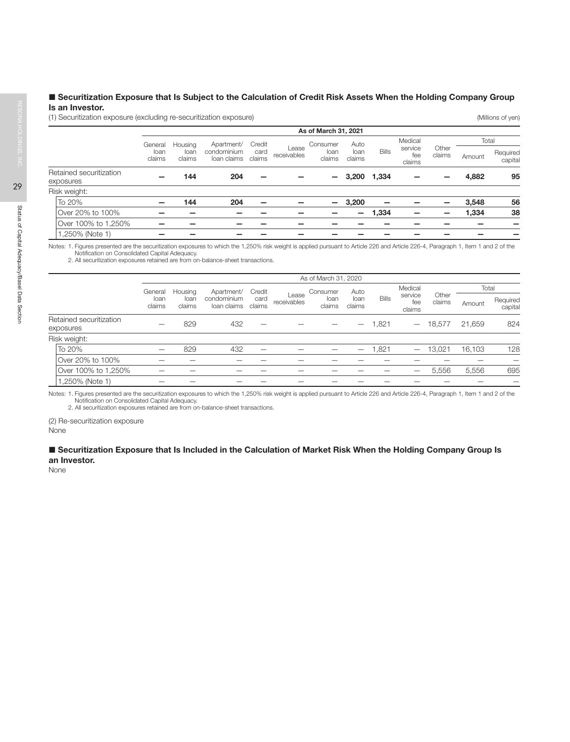# Securitization Exposure that Is Subject to the Calculation of Credit Risk Assets When the Holding Company Group Is an Investor.

(1) Securitization exposure (excluding re-securitization exposure) (Millions of yen)

|                                      |                |                |                            |                |                      | As of March 31, 2021     |                |              |                          |                 |        |                     |
|--------------------------------------|----------------|----------------|----------------------------|----------------|----------------------|--------------------------|----------------|--------------|--------------------------|-----------------|--------|---------------------|
|                                      | General        | Housing        | Apartment/                 | Credit         |                      | Consumer                 | Auto           |              | Medical                  |                 | Total  |                     |
|                                      | loan<br>claims | loan<br>claims | condominium<br>loan claims | card<br>claims | Lease<br>receivables | loan<br>claims           | loan<br>claims | <b>Bills</b> | service<br>fee<br>claims | Other<br>claims | Amount | Required<br>capital |
| Retained securitization<br>exposures | -              | 144            | 204                        | -              |                      |                          | 3,200          | 1,334        |                          |                 | 4,882  | 95                  |
| Risk weight:                         |                |                |                            |                |                      |                          |                |              |                          |                 |        |                     |
| To 20%                               |                | 144            | 204                        |                |                      | $\overline{\phantom{0}}$ | 3,200          |              |                          |                 | 3,548  | 56                  |
| Over 20% to 100%                     |                |                |                            |                |                      |                          | —              | 1,334        |                          |                 | 1,334  | 38                  |
| Over 100% to 1,250%                  |                |                |                            |                |                      |                          |                |              |                          |                 |        |                     |
| 1,250% (Note 1)                      |                |                |                            |                |                      |                          |                |              |                          |                 |        |                     |

Notes: 1. Figures presented are the securitization exposures to which the 1,250% risk weight is applied pursuant to Article 226 and Article 226-4, Paragraph 1, Item 1 and 2 of the Notification on Consolidated Capital Adequacy. 2. All securitization exposures retained are from on-balance-sheet transactions.

|                                      |                |                |                            |                |                      | As of March 31, 2020 |                |              |                          |                 |        |                     |
|--------------------------------------|----------------|----------------|----------------------------|----------------|----------------------|----------------------|----------------|--------------|--------------------------|-----------------|--------|---------------------|
|                                      | General        | Housing        | Apartment/                 | Credit         |                      | Consumer             | Auto           |              | Medical                  |                 |        | Total               |
|                                      | loan<br>claims | loan<br>claims | condominium<br>loan claims | card<br>claims | Lease<br>receivables | loan<br>claims       | loan<br>claims | <b>Bills</b> | service<br>fee<br>claims | Other<br>claims | Amount | Required<br>capital |
| Retained securitization<br>exposures |                | 829            | 432                        |                |                      |                      |                | 1,821        | $\qquad \qquad -$        | 18,577          | 21,659 | 824                 |
| Risk weight:                         |                |                |                            |                |                      |                      |                |              |                          |                 |        |                     |
| To 20%                               |                | 829            | 432                        |                |                      |                      | –              | 1,821        | -                        | 13.021          | 16.103 | 128                 |
| Over 20% to 100%                     |                |                |                            |                |                      |                      |                |              |                          |                 |        |                     |
| Over 100% to 1,250%                  |                |                |                            |                |                      |                      |                |              |                          | 5,556           | 5,556  | 695                 |
| 1,250% (Note 1)                      |                |                |                            |                |                      |                      |                |              |                          |                 |        |                     |

Notes: 1. Figures presented are the securitization exposures to which the 1,250% risk weight is applied pursuant to Article 226 and Article 226-4, Paragraph 1, Item 1 and 2 of the Notification on Consolidated Capital Adequacy.

2. All securitization exposures retained are from on-balance-sheet transactions.

(2) Re-securitization exposure None

### ■ Securitization Exposure that Is Included in the Calculation of Market Risk When the Holding Company Group Is an Investor.

None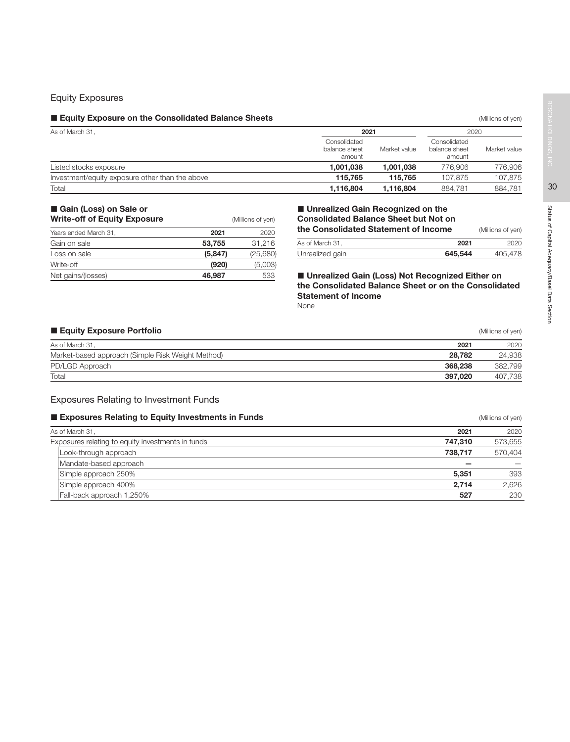# Equity Exposures

### **Equity Exposure on the Consolidated Balance Sheets Equilibries** (Millions of yen) **Consolidated Balance Sheets**

| As of March 31,                                 | 2021                                    | 2020         |                                         |              |
|-------------------------------------------------|-----------------------------------------|--------------|-----------------------------------------|--------------|
|                                                 | Consolidated<br>balance sheet<br>amount | Market value | Consolidated<br>balance sheet<br>amount | Market value |
| Listed stocks exposure                          | 1.001.038                               | 1.001.038    | 776,906                                 | 776,906      |
| Investment/equity exposure other than the above | 115.765                                 | 115.765      | 107.875                                 | 107.875      |
| Total                                           | 1,116,804                               | 1.116.804    | 884.781                                 | 884.781      |

# Gain (Loss) on Sale or

| <b>Write-off of Equity Exposure</b> |          | (Millions of yen) |
|-------------------------------------|----------|-------------------|
| Years ended March 31,               | 2021     | 2020              |
| Gain on sale                        | 53.755   | 31,216            |
| Loss on sale                        | (5, 847) | (25,680)          |
| Write-off                           | (920)    | (5,003)           |
| Net gains/(losses)                  | 46,987   | 533               |

# **Unrealized Gain Recognized on the** Consolidated Balance Sheet but Not on the Consolidated Statement of Income (Millions of yen)

| As of March 31, | 2021    | 202C    |
|-----------------|---------|---------|
| Unrealized gain | 645,544 | 405,478 |

■ Unrealized Gain (Loss) Not Recognized Either on the Consolidated Balance Sheet or on the Consolidated Statement of Income None

# **Equity Exposure Portfolio Equity Exposure Portfolio Contract Contract Contract Contract Contract Contract Contract Contract Contract Contract Contract Contract Contract Contract Contract Contract Contract Contract Con**

| As of March 31,                                   | 2021    | 2020    |
|---------------------------------------------------|---------|---------|
| Market-based approach (Simple Risk Weight Method) | 28.782  | 24,938  |
| PD/LGD Approach                                   | 368,238 | 382,799 |
| Total                                             | 397.020 | 407.738 |

# Exposures Relating to Investment Funds

### **Exposures Relating to Equity Investments in Funds** (Millions of yen) **Exposures Relating to Equity Investments in Funds**

| As of March 31,                                   | 2021    | 2020    |
|---------------------------------------------------|---------|---------|
| Exposures relating to equity investments in funds | 747.310 | 573,655 |
| Look-through approach                             | 738.717 | 570.404 |
| Mandate-based approach                            |         |         |
| Simple approach 250%                              | 5.351   | 393     |
| Simple approach 400%                              | 2.714   | 2,626   |
| Fall-back approach 1,250%                         | 527     | 230     |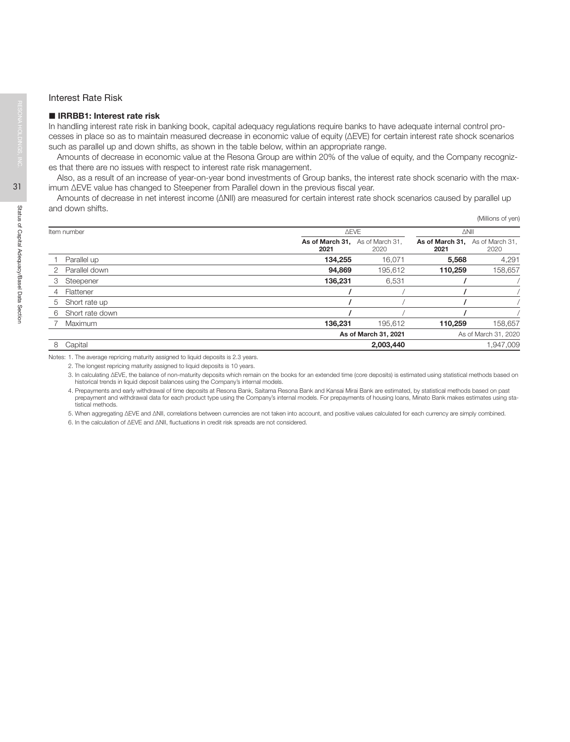### Interest Rate Risk

### ■ IRRBB1: Interest rate risk

In handling interest rate risk in banking book, capital adequacy regulations require banks to have adequate internal control processes in place so as to maintain measured decrease in economic value of equity (ΔEVE) for certain interest rate shock scenarios such as parallel up and down shifts, as shown in the table below, within an appropriate range.

Amounts of decrease in economic value at the Resona Group are within 20% of the value of equity, and the Company recognizes that there are no issues with respect to interest rate risk management.

Also, as a result of an increase of year-on-year bond investments of Group banks, the interest rate shock scenario with the maximum ΔEVE value has changed to Steepener from Parallel down in the previous fiscal year.

Amounts of decrease in net interest income (∆NII) are measured for certain interest rate shock scenarios caused by parallel up and down shifts.

|               |                 |                         |                         |                                         | (Millions of yen) |
|---------------|-----------------|-------------------------|-------------------------|-----------------------------------------|-------------------|
| ltem number   |                 |                         | <b>AEVE</b>             |                                         |                   |
|               |                 | As of March 31,<br>2021 | As of March 31,<br>2020 | As of March 31, As of March 31,<br>2021 | 2020              |
|               | Parallel up     | 134,255                 | 16,071                  | 5,568                                   | 4,291             |
| $\mathcal{P}$ | Parallel down   | 94,869                  | 195,612                 | 110,259                                 | 158,657           |
| 3             | Steepener       | 136,231                 | 6,531                   |                                         |                   |
| 4             | Flattener       |                         |                         |                                         |                   |
| 5             | Short rate up   |                         |                         |                                         |                   |
| 6             | Short rate down |                         |                         |                                         |                   |
|               | Maximum         | 136,231                 | 195.612                 | 110,259                                 | 158,657           |
|               |                 |                         | As of March 31, 2021    | As of March 31, 2020                    |                   |
| 8             | Capital         |                         | 2,003,440               |                                         | 1,947,009         |

Notes: 1. The average repricing maturity assigned to liquid deposits is 2.3 years.

2. The longest repricing maturity assigned to liquid deposits is 10 years.

3. In calculating ΔEVE, the balance of non-maturity deposits which remain on the books for an extended time (core deposits) is estimated using statistical methods based on historical trends in liquid deposit balances using the Company's internal models.

4. Prepayments and early withdrawal of time deposits at Resona Bank, Saitama Resona Bank and Kansai Mirai Bank are estimated, by statistical methods based on past prepayment and withdrawal data for each product type using the Company's internal models. For prepayments of housing loans, Minato Bank makes estimates using statistical methods.

5. When aggregating ΔEVE and ΔNII, correlations between currencies are not taken into account, and positive values calculated for each currency are simply combined.

6. In the calculation of ΔEVE and ΔNII, fluctuations in credit risk spreads are not considered.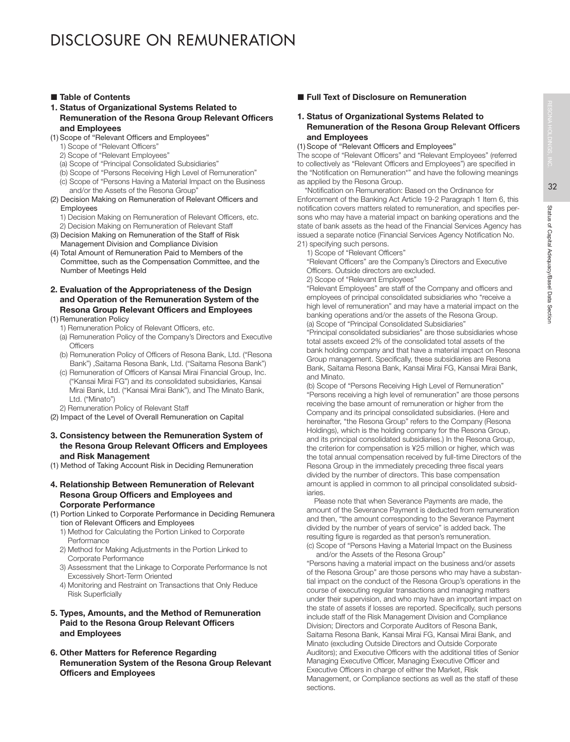# ■ Table of Contents

### 1. Status of Organizational Systems Related to Remuneration of the Resona Group Relevant Officers and Employees

- (1) Scope of "Relevant Officers and Employees"
	- 1) Scope of "Relevant Officers"
	- 2) Scope of "Relevant Employees"
	- (a) Scope of "Principal Consolidated Subsidiaries"
	- (b) Scope of "Persons Receiving High Level of Remuneration"
	- (c) Scope of "Persons Having a Material Impact on the Business and/or the Assets of the Resona Group"
- (2) Decision Making on Remuneration of Relevant Officers and **Employees** 
	- 1) Decision Making on Remuneration of Relevant Officers, etc.
- 2) Decision Making on Remuneration of Relevant Staff (3) Decision Making on Remuneration of the Staff of Risk
- Management Division and Compliance Division (4) Total Amount of Remuneration Paid to Members of the Committee, such as the Compensation Committee, and the
- Number of Meetings Held
- 2. Evaluation of the Appropriateness of the Design and Operation of the Remuneration System of the Resona Group Relevant Officers and Employees (1) Remuneration Policy
	- 1) Remuneration Policy of Relevant Officers, etc.
	- (a) Remuneration Policy of the Company's Directors and Executive **Officers**
	- (b) Remuneration Policy of Officers of Resona Bank, Ltd. ("Resona Bank") ,Saitama Resona Bank, Ltd. ("Saitama Resona Bank")
	- (c) Remuneration of Officers of Kansai Mirai Financial Group, Inc. ("Kansai Mirai FG") and its consolidated subsidiaries, Kansai Mirai Bank, Ltd. ("Kansai Mirai Bank"), and The Minato Bank, Ltd. ("Minato")
	- 2) Remuneration Policy of Relevant Staff
- (2) Impact of the Level of Overall Remuneration on Capital

# 3. Consistency between the Remuneration System of the Resona Group Relevant Officers and Employees and Risk Management

- (1) Method of Taking Account Risk in Deciding Remuneration
- 4. Relationship Between Remuneration of Relevant Resona Group Officers and Employees and Corporate Performance
- (1) Portion Linked to Corporate Performance in Deciding Remunera tion of Relevant Officers and Employees
	- 1) Method for Calculating the Portion Linked to Corporate Performance
	- 2) Method for Making Adjustments in the Portion Linked to Corporate Performance
	- 3) Assessment that the Linkage to Corporate Performance Is not Excessively Short-Term Oriented
	- 4) Monitoring and Restraint on Transactions that Only Reduce Risk Superficially

# 5. Types, Amounts, and the Method of Remuneration Paid to the Resona Group Relevant Officers and Employees

6. Other Matters for Reference Regarding Remuneration System of the Resona Group Relevant Officers and Employees

# **Full Text of Disclosure on Remuneration**

# 1. Status of Organizational Systems Related to Remuneration of the Resona Group Relevant Officers and Employees

# (1) Scope of "Relevant Officers and Employees"

The scope of "Relevant Officers" and "Relevant Employees" (referred to collectively as "Relevant Officers and Employees") are specified in the "Notification on Remuneration\*" and have the following meanings as applied by the Resona Group.

\*Notification on Remuneration: Based on the Ordinance for Enforcement of the Banking Act Article 19-2 Paragraph 1 Item 6, this notification covers matters related to remuneration, and specifies persons who may have a material impact on banking operations and the state of bank assets as the head of the Financial Services Agency has issued a separate notice (Financial Services Agency Notification No. 21) specifying such persons.

1) Scope of "Relevant Officers"

 "Relevant Officers" are the Company's Directors and Executive Officers. Outside directors are excluded.

2) Scope of "Relevant Employees"

 "Relevant Employees" are staff of the Company and officers and employees of principal consolidated subsidiaries who "receive a high level of remuneration" and may have a material impact on the banking operations and/or the assets of the Resona Group. (a) Scope of "Principal Consolidated Subsidiaries"

 "Principal consolidated subsidiaries" are those subsidiaries whose total assets exceed 2% of the consolidated total assets of the bank holding company and that have a material impact on Resona Group management. Specifically, these subsidiaries are Resona Bank, Saitama Resona Bank, Kansai Mirai FG, Kansai Mirai Bank, and Minato.

(b) Scope of "Persons Receiving High Level of Remuneration" "Persons receiving a high level of remuneration" are those persons receiving the base amount of remuneration or higher from the Company and its principal consolidated subsidiaries. (Here and hereinafter, "the Resona Group" refers to the Company (Resona Holdings), which is the holding company for the Resona Group, and its principal consolidated subsidiaries.) In the Resona Group, the criterion for compensation is ¥25 million or higher, which was the total annual compensation received by full-time Directors of the Resona Group in the immediately preceding three fiscal years divided by the number of directors. This base compensation amount is applied in common to all principal consolidated subsidiaries.

 Please note that when Severance Payments are made, the amount of the Severance Payment is deducted from remuneration and then, "the amount corresponding to the Severance Payment divided by the number of years of service" is added back. The resulting figure is regarded as that person's remuneration. (c) Scope of "Persons Having a Material Impact on the Business

and/or the Assets of the Resona Group"

 "Persons having a material impact on the business and/or assets of the Resona Group" are those persons who may have a substantial impact on the conduct of the Resona Group's operations in the course of executing regular transactions and managing matters under their supervision, and who may have an important impact on the state of assets if losses are reported. Specifically, such persons include staff of the Risk Management Division and Compliance Division; Directors and Corporate Auditors of Resona Bank, Saitama Resona Bank, Kansai Mirai FG, Kansai Mirai Bank, and Minato (excluding Outside Directors and Outside Corporate Auditors); and Executive Officers with the additional titles of Senior Managing Executive Officer, Managing Executive Officer and Executive Officers in charge of either the Market, Risk Management, or Compliance sections as well as the staff of these sections.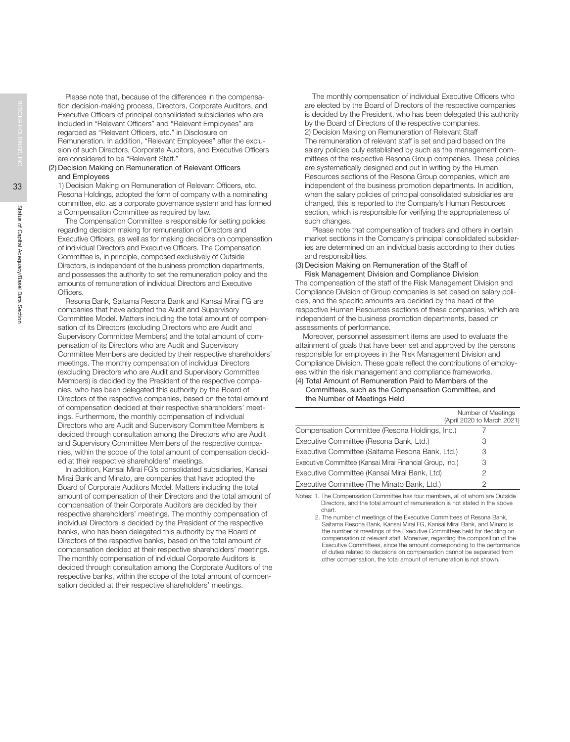Please note that, because of the differences in the compensation decision-making process, Directors, Corporate Auditors, and Executive Officers of principal consolidated subsidiaries who are included in "Relevant Officers" and "Relevant Employees" are regarded as "Relevant Officers, etc." in Disclosure on Remuneration. In addition, "Relevant Employees" after the exclusion of such Directors, Corporate Auditors, and Executive Officers are considered to be "Relevant Staff."

### (2) Decision Making on Remuneration of Relevant Officers and Employees

 1) Decision Making on Remuneration of Relevant Officers, etc. Resona Holdings, adopted the form of company with a nominating committee, etc. as a corporate governance system and has formed a Compensation Committee as required by law.

 The Compensation Committee is responsible for setting policies regarding decision making for remuneration of Directors and Executive Officers, as well as for making decisions on compensation of individual Directors and Executive Officers. The Compensation Committee is, in principle, composed exclusively of Outside Directors, is independent of the business promotion departments, and possesses the authority to set the remuneration policy and the amounts of remuneration of individual Directors and Executive Officers.

 Resona Bank, Saitama Resona Bank and Kansai Mirai FG are companies that have adopted the Audit and Supervisory Committee Model. Matters including the total amount of compensation of its Directors (excluding Directors who are Audit and Supervisory Committee Members) and the total amount of compensation of its Directors who are Audit and Supervisory Committee Members are decided by their respective shareholders' meetings. The monthly compensation of individual Directors (excluding Directors who are Audit and Supervisory Committee Members) is decided by the President of the respective companies, who has been delegated this authority by the Board of Directors of the respective companies, based on the total amount of compensation decided at their respective shareholders' meetings. Furthermore, the monthly compensation of individual Directors who are Audit and Supervisory Committee Members is decided through consultation among the Directors who are Audit and Supervisory Committee Members of the respective companies, within the scope of the total amount of compensation decided at their respective shareholders' meetings.

 In addition, Kansai Mirai FG's consolidated subsidiaries, Kansai Mirai Bank and Minato, are companies that have adopted the Board of Corporate Auditors Model. Matters including the total amount of compensation of their Directors and the total amount of compensation of their Corporate Auditors are decided by their respective shareholders' meetings. The monthly compensation of individual Directors is decided by the President of the respective banks, who has been delegated this authority by the Board of Directors of the respective banks, based on the total amount of compensation decided at their respective shareholders' meetings. The monthly compensation of individual Corporate Auditors is decided through consultation among the Corporate Auditors of the respective banks, within the scope of the total amount of compensation decided at their respective shareholders' meetings.

 The monthly compensation of individual Executive Officers who are elected by the Board of Directors of the respective companies is decided by the President, who has been delegated this authority by the Board of Directors of the respective companies. 2) Decision Making on Remuneration of Relevant Staff The remuneration of relevant staff is set and paid based on the salary policies duly established by such as the management committees of the respective Resona Group companies. These policies are systematically designed and put in writing by the Human Resources sections of the Resona Group companies, which are independent of the business promotion departments. In addition, when the salary policies of principal consolidated subsidiaries are changed, this is reported to the Company's Human Resources section, which is responsible for verifying the appropriateness of such changes.

Please note that compensation of traders and others in certain market sections in the Company's principal consolidated subsidiaries are determined on an individual basis according to their duties and responsibilities.

# (3) Decision Making on Remuneration of the Staff of

Risk Management Division and Compliance Division The compensation of the staff of the Risk Management Division and Compliance Division of Group companies is set based on salary policies, and the specific amounts are decided by the head of the respective Human Resources sections of these companies, which are independent of the business promotion departments, based on assessments of performance.

Moreover, personnel assessment items are used to evaluate the attainment of goals that have been set and approved by the persons responsible for employees in the Risk Management Division and Compliance Division. These goals reflect the contributions of employees within the risk management and compliance frameworks. (4) Total Amount of Remuneration Paid to Members of the

### Committees, such as the Compensation Committee, and the Number of Meetings Held

|                                                          | Number of Meetings<br>(April 2020 to March 2021) |
|----------------------------------------------------------|--------------------------------------------------|
| Compensation Committee (Resona Holdings, Inc.)           |                                                  |
| Executive Committee (Resona Bank, Ltd.)                  | З                                                |
| Executive Committee (Saitama Resona Bank, Ltd.)          | 3                                                |
| Executive Committee (Kansai Mirai Financial Group, Inc.) | 3                                                |
| Executive Committee (Kansai Mirai Bank, Ltd)             |                                                  |
| Executive Committee (The Minato Bank, Ltd.)              |                                                  |

Notes: 1. The Compensation Committee has four members, all of whom are Outside Directors, and the total amount of remuneration is not stated in the above chart.

2. The number of meetings of the Executive Committees of Resona Bank, Saitama Resona Bank, Kansai Mirai FG, Kansai Mirai Bank, and Minato is the number of meetings of the Executive Committees held for deciding on compensation of relevant staff. Moreover, regarding the composition of the Executive Committees, since the amount corresponding to the performance of duties related to decisions on compensation cannot be separated from other compensation, the total amount of remuneration is not shown.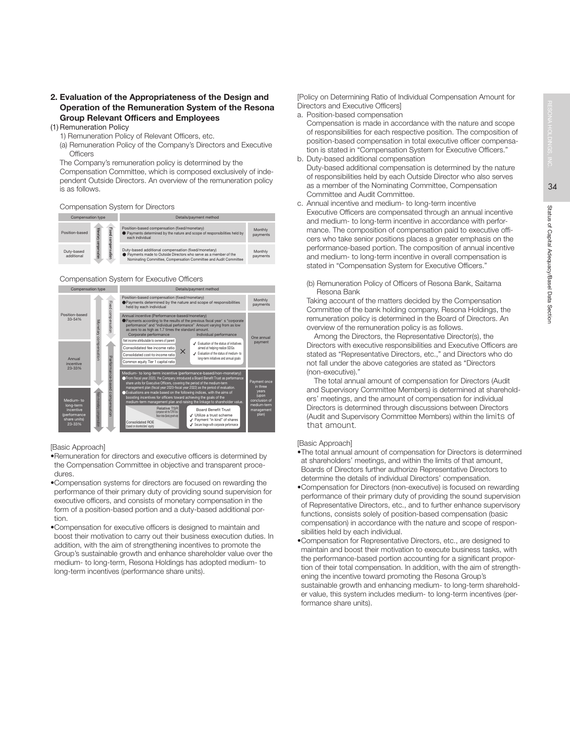34

# 2. Evaluation of the Appropriateness of the Design and Operation of the Remuneration System of the Resona Group Relevant Officers and Employees

- (1) Remuneration Policy 1) Remuneration Policy of Relevant Officers, etc.
	- (a) Remuneration Policy of the Company's Directors and Executive

**Officers** 

 The Company's remuneration policy is determined by the Compensation Committee, which is composed exclusively of independent Outside Directors. An overview of the remuneration policy is as follows.

### Compensation System for Directors

| Compensation type        |                                       | Details/payment method                                                                                                                                                                       |                     |  |  |  |
|--------------------------|---------------------------------------|----------------------------------------------------------------------------------------------------------------------------------------------------------------------------------------------|---------------------|--|--|--|
| Position-based           | Fixed                                 | Position-based compensation (fixed/monetary)<br>● Payments determined by the nature and scope of responsibilities held by<br>each individual                                                 | Monthly<br>payments |  |  |  |
| Duty-based<br>additional | Nonetary compensation<br>compensation | Duty-based additional compensation (fixed/monetary)<br>● Payments made to Outside Directors who serve as a member of the<br>Nominating Committee, Compensation Committee and Audit Committee | Monthly<br>payments |  |  |  |

Compensation System for Executive Officers



### [Basic Approach]

- •Remuneration for directors and executive officers is determined by the Compensation Committee in objective and transparent procedures.
- •Compensation systems for directors are focused on rewarding the performance of their primary duty of providing sound supervision for executive officers, and consists of monetary compensation in the form of a position-based portion and a duty-based additional portion.
- •Compensation for executive officers is designed to maintain and boost their motivation to carry out their business execution duties. In addition, with the aim of strengthening incentives to promote the Group's sustainable growth and enhance shareholder value over the medium- to long-term, Resona Holdings has adopted medium- to long-term incentives (performance share units).

[Policy on Determining Ratio of Individual Compensation Amount for Directors and Executive Officers]

a. Position-based compensation

 Compensation is made in accordance with the nature and scope of responsibilities for each respective position. The composition of position-based compensation in total executive officer compensation is stated in "Compensation System for Executive Officers."

- b. Duty-based additional compensation Duty-based additional compensation is determined by the nature of responsibilities held by each Outside Director who also serves as a member of the Nominating Committee, Compensation Committee and Audit Committee.
- c. Annual incentive and medium- to long-term incentive Executive Officers are compensated through an annual incentive and medium- to long-term incentive in accordance with performance. The composition of compensation paid to executive officers who take senior positions places a greater emphasis on the performance-based portion. The composition of annual incentive and medium- to long-term incentive in overall compensation is stated in "Compensation System for Executive Officers."
	- (b) Remuneration Policy of Officers of Resona Bank, Saitama Resona Bank

 Taking account of the matters decided by the Compensation Committee of the bank holding company, Resona Holdings, the remuneration policy is determined in the Board of Directors. An overview of the remuneration policy is as follows.

 Among the Directors, the Representative Director(s), the Directors with executive responsibilities and Executive Officers are stated as "Representative Directors, etc.," and Directors who do not fall under the above categories are stated as "Directors (non-executive)."

 The total annual amount of compensation for Directors (Audit and Supervisory Committee Members) is determined at shareholders' meetings, and the amount of compensation for individual Directors is determined through discussions between Directors (Audit and Supervisory Committee Members) within the limits of that amount.

## [Basic Approach]

- •The total annual amount of compensation for Directors is determined at shareholders' meetings, and within the limits of that amount, Boards of Directors further authorize Representative Directors to determine the details of individual Directors' compensation.
- •Compensation for Directors (non-executive) is focused on rewarding performance of their primary duty of providing the sound supervision of Representative Directors, etc., and to further enhance supervisory functions, consists solely of position-based compensation (basic compensation) in accordance with the nature and scope of responsibilities held by each individual.
- •Compensation for Representative Directors, etc., are designed to maintain and boost their motivation to execute business tasks, with the performance-based portion accounting for a significant proportion of their total compensation. In addition, with the aim of strengthening the incentive toward promoting the Resona Group's sustainable growth and enhancing medium- to long-term shareholder value, this system includes medium- to long-term incentives (performance share units).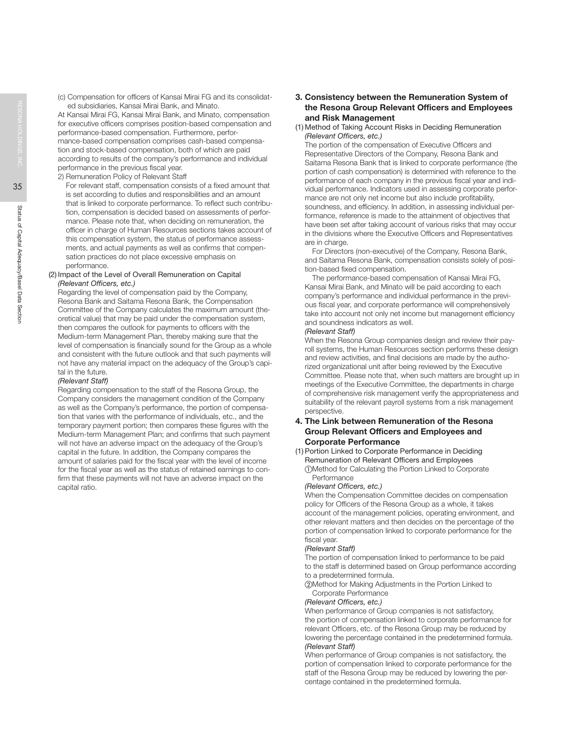(c) Compensation for officers of Kansai Mirai FG and its consolidated subsidiaries, Kansai Mirai Bank, and Minato.

 At Kansai Mirai FG, Kansai Mirai Bank, and Minato, compensation for executive officers comprises position-based compensation and performance-based compensation. Furthermore, performance-based compensation comprises cash-based compensation and stock-based compensation, both of which are paid according to results of the company's performance and individual performance in the previous fiscal year.

2) Remuneration Policy of Relevant Staff

For relevant staff, compensation consists of a fixed amount that is set according to duties and responsibilities and an amount that is linked to corporate performance. To reflect such contribution, compensation is decided based on assessments of performance. Please note that, when deciding on remuneration, the officer in charge of Human Resources sections takes account of this compensation system, the status of performance assessments, and actual payments as well as confirms that compensation practices do not place excessive emphasis on performance.

### (2) Impact of the Level of Overall Remuneration on Capital *(Relevant Officers, etc.)*

 Regarding the level of compensation paid by the Company, Resona Bank and Saitama Resona Bank, the Compensation Committee of the Company calculates the maximum amount (theoretical value) that may be paid under the compensation system, then compares the outlook for payments to officers with the Medium-term Management Plan, thereby making sure that the level of compensation is financially sound for the Group as a whole and consistent with the future outlook and that such payments will not have any material impact on the adequacy of the Group's capital in the future.

# *(Relevant Staff)*

 Regarding compensation to the staff of the Resona Group, the Company considers the management condition of the Company as well as the Company's performance, the portion of compensation that varies with the performance of individuals, etc., and the temporary payment portion; then compares these figures with the Medium-term Management Plan; and confirms that such payment will not have an adverse impact on the adequacy of the Group's capital in the future. In addition, the Company compares the amount of salaries paid for the fiscal year with the level of income for the fiscal year as well as the status of retained earnings to confirm that these payments will not have an adverse impact on the capital ratio.

# 3. Consistency between the Remuneration System of the Resona Group Relevant Officers and Employees and Risk Management

### (1) Method of Taking Account Risks in Deciding Remuneration *(Relevant Officers, etc.)*

 The portion of the compensation of Executive Officers and Representative Directors of the Company, Resona Bank and Saitama Resona Bank that is linked to corporate performance (the portion of cash compensation) is determined with reference to the performance of each company in the previous fiscal year and individual performance. Indicators used in assessing corporate performance are not only net income but also include profitability, soundness, and efficiency. In addition, in assessing individual performance, reference is made to the attainment of objectives that have been set after taking account of various risks that may occur in the divisions where the Executive Officers and Representatives are in charge.

 For Directors (non-executive) of the Company, Resona Bank, and Saitama Resona Bank, compensation consists solely of position-based fixed compensation.

 The performance-based compensation of Kansai Mirai FG, Kansai Mirai Bank, and Minato will be paid according to each company's performance and individual performance in the previous fiscal year, and corporate performance will comprehensively take into account not only net income but management efficiency and soundness indicators as well.

## *(Relevant Staff)*

 When the Resona Group companies design and review their payroll systems, the Human Resources section performs these design and review activities, and final decisions are made by the authorized organizational unit after being reviewed by the Executive Committee. Please note that, when such matters are brought up in meetings of the Executive Committee, the departments in charge of comprehensive risk management verify the appropriateness and suitability of the relevant payroll systems from a risk management perspective.

# 4. The Link between Remuneration of the Resona Group Relevant Officers and Employees and Corporate Performance

### (1) Portion Linked to Corporate Performance in Deciding Remuneration of Relevant Officers and Employees

①Method for Calculating the Portion Linked to Corporate Performance

# *(Relevant Officers, etc.)*

 When the Compensation Committee decides on compensation policy for Officers of the Resona Group as a whole, it takes account of the management policies, operating environment, and other relevant matters and then decides on the percentage of the portion of compensation linked to corporate performance for the fiscal year.

# *(Relevant Staff)*

 The portion of compensation linked to performance to be paid to the staff is determined based on Group performance according to a predetermined formula.

②Method for Making Adjustments in the Portion Linked to Corporate Performance

# *(Relevant Officers, etc.)*

 When performance of Group companies is not satisfactory, the portion of compensation linked to corporate performance for relevant Officers, etc. of the Resona Group may be reduced by lowering the percentage contained in the predetermined formula. *(Relevant Staff)*

 When performance of Group companies is not satisfactory, the portion of compensation linked to corporate performance for the staff of the Resona Group may be reduced by lowering the percentage contained in the predetermined formula.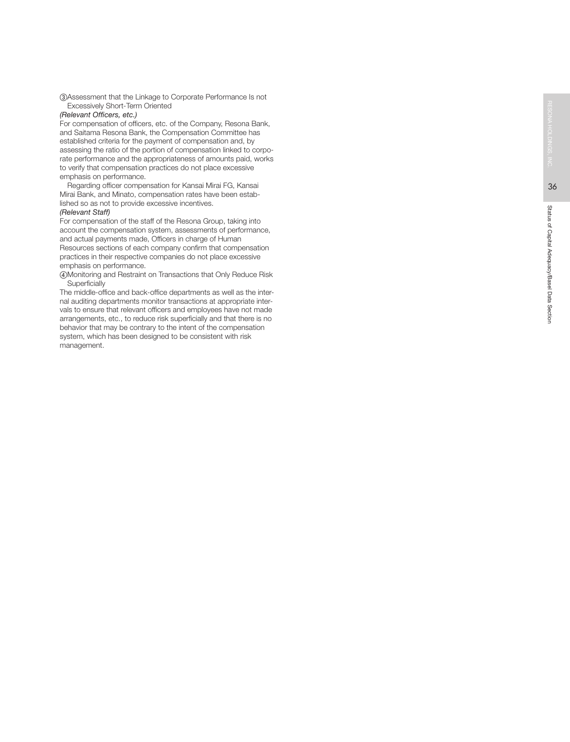③Assessment that the Linkage to Corporate Performance Is not Excessively Short-Term Oriented

### *(Relevant Officers, etc.)*

 For compensation of officers, etc. of the Company, Resona Bank, and Saitama Resona Bank, the Compensation Committee has established criteria for the payment of compensation and, by assessing the ratio of the portion of compensation linked to corporate performance and the appropriateness of amounts paid, works to verify that compensation practices do not place excessive emphasis on performance.

 Regarding officer compensation for Kansai Mirai FG, Kansai Mirai Bank, and Minato, compensation rates have been established so as not to provide excessive incentives. *(Relevant Staff)*

 For compensation of the staff of the Resona Group, taking into account the compensation system, assessments of performance, and actual payments made, Officers in charge of Human Resources sections of each company confirm that compensation practices in their respective companies do not place excessive emphasis on performance.

④Monitoring and Restraint on Transactions that Only Reduce Risk **Superficially** 

 The middle-office and back-office departments as well as the internal auditing departments monitor transactions at appropriate intervals to ensure that relevant officers and employees have not made arrangements, etc., to reduce risk superficially and that there is no behavior that may be contrary to the intent of the compensation system, which has been designed to be consistent with risk management.